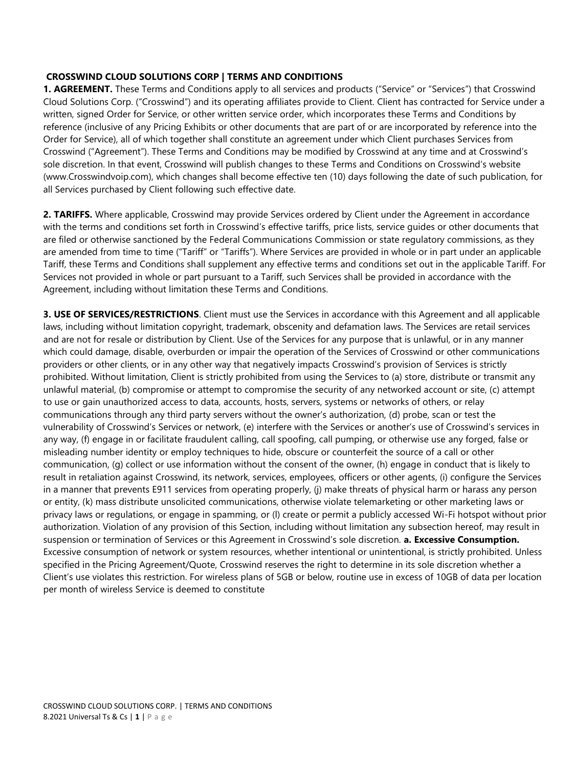### **CROSSWIND CLOUD SOLUTIONS CORP | TERMS AND CONDITIONS**

**1. AGREEMENT.** These Terms and Conditions apply to all services and products ("Service" or "Services") that Crosswind Cloud Solutions Corp. ("Crosswind") and its operating affiliates provide to Client. Client has contracted for Service under a written, signed Order for Service, or other written service order, which incorporates these Terms and Conditions by reference (inclusive of any Pricing Exhibits or other documents that are part of or are incorporated by reference into the Order for Service), all of which together shall constitute an agreement under which Client purchases Services from Crosswind ("Agreement"). These Terms and Conditions may be modified by Crosswind at any time and at Crosswind's sole discretion. In that event, Crosswind will publish changes to these Terms and Conditions on Crosswind's website (www.Crosswindvoip.com), which changes shall become effective ten (10) days following the date of such publication, for all Services purchased by Client following such effective date.

**2. TARIFFS.** Where applicable, Crosswind may provide Services ordered by Client under the Agreement in accordance with the terms and conditions set forth in Crosswind's effective tariffs, price lists, service guides or other documents that are filed or otherwise sanctioned by the Federal Communications Commission or state regulatory commissions, as they are amended from time to time ("Tariff" or "Tariffs"). Where Services are provided in whole or in part under an applicable Tariff, these Terms and Conditions shall supplement any effective terms and conditions set out in the applicable Tariff. For Services not provided in whole or part pursuant to a Tariff, such Services shall be provided in accordance with the Agreement, including without limitation these Terms and Conditions.

**3. USE OF SERVICES/RESTRICTIONS**. Client must use the Services in accordance with this Agreement and all applicable laws, including without limitation copyright, trademark, obscenity and defamation laws. The Services are retail services and are not for resale or distribution by Client. Use of the Services for any purpose that is unlawful, or in any manner which could damage, disable, overburden or impair the operation of the Services of Crosswind or other communications providers or other clients, or in any other way that negatively impacts Crosswind's provision of Services is strictly prohibited. Without limitation, Client is strictly prohibited from using the Services to (a) store, distribute or transmit any unlawful material, (b) compromise or attempt to compromise the security of any networked account or site, (c) attempt to use or gain unauthorized access to data, accounts, hosts, servers, systems or networks of others, or relay communications through any third party servers without the owner's authorization, (d) probe, scan or test the vulnerability of Crosswind's Services or network, (e) interfere with the Services or another's use of Crosswind's services in any way, (f) engage in or facilitate fraudulent calling, call spoofing, call pumping, or otherwise use any forged, false or misleading number identity or employ techniques to hide, obscure or counterfeit the source of a call or other communication, (g) collect or use information without the consent of the owner, (h) engage in conduct that is likely to result in retaliation against Crosswind, its network, services, employees, officers or other agents, (i) configure the Services in a manner that prevents E911 services from operating properly, (j) make threats of physical harm or harass any person or entity, (k) mass distribute unsolicited communications, otherwise violate telemarketing or other marketing laws or privacy laws or regulations, or engage in spamming, or (l) create or permit a publicly accessed Wi-Fi hotspot without prior authorization. Violation of any provision of this Section, including without limitation any subsection hereof, may result in suspension or termination of Services or this Agreement in Crosswind's sole discretion. **a. Excessive Consumption.**  Excessive consumption of network or system resources, whether intentional or unintentional, is strictly prohibited. Unless specified in the Pricing Agreement/Quote, Crosswind reserves the right to determine in its sole discretion whether a Client's use violates this restriction. For wireless plans of 5GB or below, routine use in excess of 10GB of data per location per month of wireless Service is deemed to constitute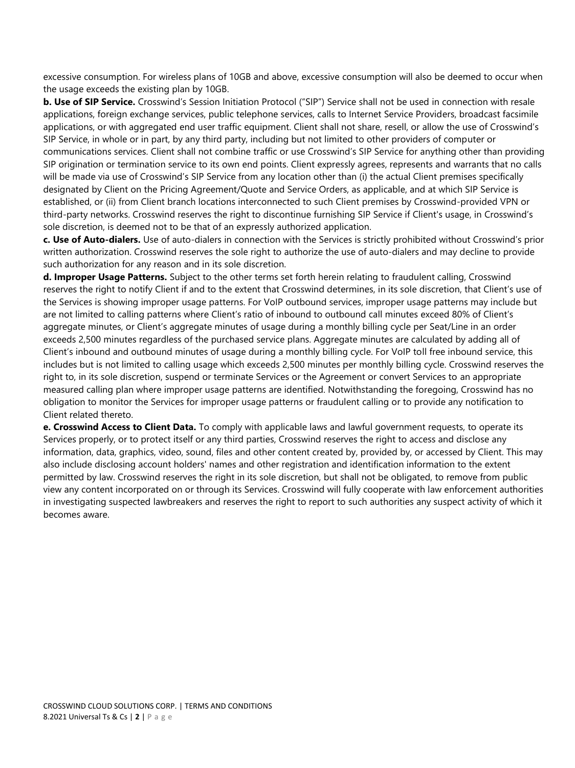excessive consumption. For wireless plans of 10GB and above, excessive consumption will also be deemed to occur when the usage exceeds the existing plan by 10GB.

**b. Use of SIP Service.** Crosswind's Session Initiation Protocol ("SIP") Service shall not be used in connection with resale applications, foreign exchange services, public telephone services, calls to Internet Service Providers, broadcast facsimile applications, or with aggregated end user traffic equipment. Client shall not share, resell, or allow the use of Crosswind's SIP Service, in whole or in part, by any third party, including but not limited to other providers of computer or communications services. Client shall not combine traffic or use Crosswind's SIP Service for anything other than providing SIP origination or termination service to its own end points. Client expressly agrees, represents and warrants that no calls will be made via use of Crosswind's SIP Service from any location other than (i) the actual Client premises specifically designated by Client on the Pricing Agreement/Quote and Service Orders, as applicable, and at which SIP Service is established, or (ii) from Client branch locations interconnected to such Client premises by Crosswind-provided VPN or third-party networks. Crosswind reserves the right to discontinue furnishing SIP Service if Client's usage, in Crosswind's sole discretion, is deemed not to be that of an expressly authorized application.

**c. Use of Auto-dialers.** Use of auto-dialers in connection with the Services is strictly prohibited without Crosswind's prior written authorization. Crosswind reserves the sole right to authorize the use of auto-dialers and may decline to provide such authorization for any reason and in its sole discretion.

**d. Improper Usage Patterns.** Subject to the other terms set forth herein relating to fraudulent calling, Crosswind reserves the right to notify Client if and to the extent that Crosswind determines, in its sole discretion, that Client's use of the Services is showing improper usage patterns. For VoIP outbound services, improper usage patterns may include but are not limited to calling patterns where Client's ratio of inbound to outbound call minutes exceed 80% of Client's aggregate minutes, or Client's aggregate minutes of usage during a monthly billing cycle per Seat/Line in an order exceeds 2,500 minutes regardless of the purchased service plans. Aggregate minutes are calculated by adding all of Client's inbound and outbound minutes of usage during a monthly billing cycle. For VoIP toll free inbound service, this includes but is not limited to calling usage which exceeds 2,500 minutes per monthly billing cycle. Crosswind reserves the right to, in its sole discretion, suspend or terminate Services or the Agreement or convert Services to an appropriate measured calling plan where improper usage patterns are identified. Notwithstanding the foregoing, Crosswind has no obligation to monitor the Services for improper usage patterns or fraudulent calling or to provide any notification to Client related thereto.

**e. Crosswind Access to Client Data.** To comply with applicable laws and lawful government requests, to operate its Services properly, or to protect itself or any third parties, Crosswind reserves the right to access and disclose any information, data, graphics, video, sound, files and other content created by, provided by, or accessed by Client. This may also include disclosing account holders' names and other registration and identification information to the extent permitted by law. Crosswind reserves the right in its sole discretion, but shall not be obligated, to remove from public view any content incorporated on or through its Services. Crosswind will fully cooperate with law enforcement authorities in investigating suspected lawbreakers and reserves the right to report to such authorities any suspect activity of which it becomes aware.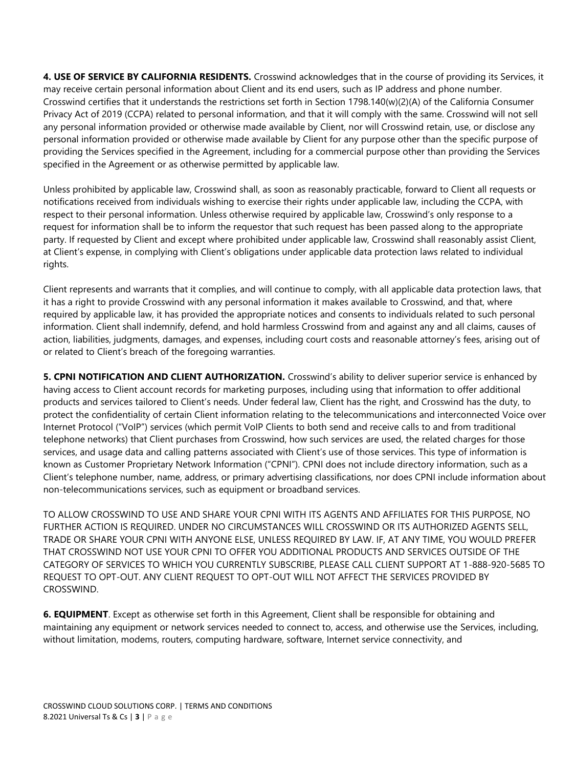**4. USE OF SERVICE BY CALIFORNIA RESIDENTS.** Crosswind acknowledges that in the course of providing its Services, it may receive certain personal information about Client and its end users, such as IP address and phone number. Crosswind certifies that it understands the restrictions set forth in Section 1798.140(w)(2)(A) of the California Consumer Privacy Act of 2019 (CCPA) related to personal information, and that it will comply with the same. Crosswind will not sell any personal information provided or otherwise made available by Client, nor will Crosswind retain, use, or disclose any personal information provided or otherwise made available by Client for any purpose other than the specific purpose of providing the Services specified in the Agreement, including for a commercial purpose other than providing the Services specified in the Agreement or as otherwise permitted by applicable law.

Unless prohibited by applicable law, Crosswind shall, as soon as reasonably practicable, forward to Client all requests or notifications received from individuals wishing to exercise their rights under applicable law, including the CCPA, with respect to their personal information. Unless otherwise required by applicable law, Crosswind's only response to a request for information shall be to inform the requestor that such request has been passed along to the appropriate party. If requested by Client and except where prohibited under applicable law, Crosswind shall reasonably assist Client, at Client's expense, in complying with Client's obligations under applicable data protection laws related to individual rights.

Client represents and warrants that it complies, and will continue to comply, with all applicable data protection laws, that it has a right to provide Crosswind with any personal information it makes available to Crosswind, and that, where required by applicable law, it has provided the appropriate notices and consents to individuals related to such personal information. Client shall indemnify, defend, and hold harmless Crosswind from and against any and all claims, causes of action, liabilities, judgments, damages, and expenses, including court costs and reasonable attorney's fees, arising out of or related to Client's breach of the foregoing warranties.

**5. CPNI NOTIFICATION AND CLIENT AUTHORIZATION.** Crosswind's ability to deliver superior service is enhanced by having access to Client account records for marketing purposes, including using that information to offer additional products and services tailored to Client's needs. Under federal law, Client has the right, and Crosswind has the duty, to protect the confidentiality of certain Client information relating to the telecommunications and interconnected Voice over Internet Protocol ("VoIP") services (which permit VoIP Clients to both send and receive calls to and from traditional telephone networks) that Client purchases from Crosswind, how such services are used, the related charges for those services, and usage data and calling patterns associated with Client's use of those services. This type of information is known as Customer Proprietary Network Information ("CPNI"). CPNI does not include directory information, such as a Client's telephone number, name, address, or primary advertising classifications, nor does CPNI include information about non-telecommunications services, such as equipment or broadband services.

TO ALLOW CROSSWIND TO USE AND SHARE YOUR CPNI WITH ITS AGENTS AND AFFILIATES FOR THIS PURPOSE, NO FURTHER ACTION IS REQUIRED. UNDER NO CIRCUMSTANCES WILL CROSSWIND OR ITS AUTHORIZED AGENTS SELL, TRADE OR SHARE YOUR CPNI WITH ANYONE ELSE, UNLESS REQUIRED BY LAW. IF, AT ANY TIME, YOU WOULD PREFER THAT CROSSWIND NOT USE YOUR CPNI TO OFFER YOU ADDITIONAL PRODUCTS AND SERVICES OUTSIDE OF THE CATEGORY OF SERVICES TO WHICH YOU CURRENTLY SUBSCRIBE, PLEASE CALL CLIENT SUPPORT AT 1-888-920-5685 TO REQUEST TO OPT-OUT. ANY CLIENT REQUEST TO OPT-OUT WILL NOT AFFECT THE SERVICES PROVIDED BY CROSSWIND.

**6. EQUIPMENT**. Except as otherwise set forth in this Agreement, Client shall be responsible for obtaining and maintaining any equipment or network services needed to connect to, access, and otherwise use the Services, including, without limitation, modems, routers, computing hardware, software, Internet service connectivity, and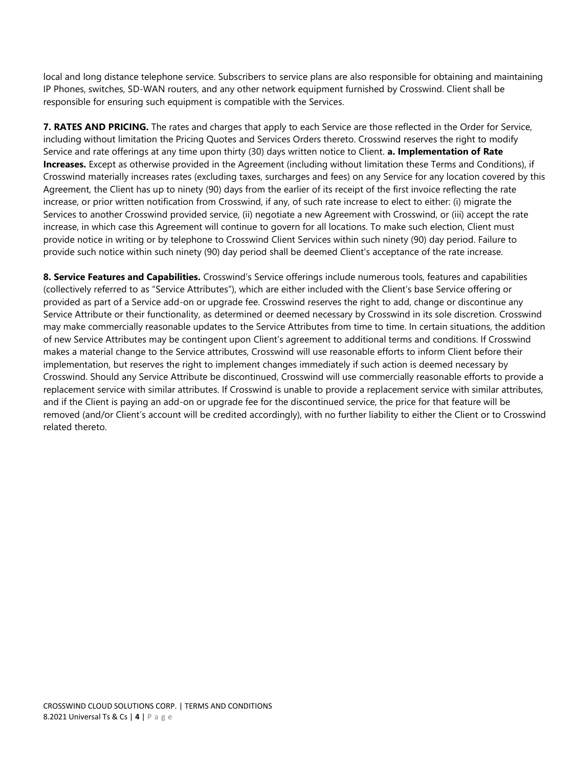local and long distance telephone service. Subscribers to service plans are also responsible for obtaining and maintaining IP Phones, switches, SD-WAN routers, and any other network equipment furnished by Crosswind. Client shall be responsible for ensuring such equipment is compatible with the Services.

**7. RATES AND PRICING.** The rates and charges that apply to each Service are those reflected in the Order for Service, including without limitation the Pricing Quotes and Services Orders thereto. Crosswind reserves the right to modify Service and rate offerings at any time upon thirty (30) days written notice to Client. **a. Implementation of Rate Increases.** Except as otherwise provided in the Agreement (including without limitation these Terms and Conditions), if Crosswind materially increases rates (excluding taxes, surcharges and fees) on any Service for any location covered by this Agreement, the Client has up to ninety (90) days from the earlier of its receipt of the first invoice reflecting the rate increase, or prior written notification from Crosswind, if any, of such rate increase to elect to either: (i) migrate the Services to another Crosswind provided service, (ii) negotiate a new Agreement with Crosswind, or (iii) accept the rate increase, in which case this Agreement will continue to govern for all locations. To make such election, Client must provide notice in writing or by telephone to Crosswind Client Services within such ninety (90) day period. Failure to provide such notice within such ninety (90) day period shall be deemed Client's acceptance of the rate increase.

**8. Service Features and Capabilities.** Crosswind's Service offerings include numerous tools, features and capabilities (collectively referred to as "Service Attributes"), which are either included with the Client's base Service offering or provided as part of a Service add-on or upgrade fee. Crosswind reserves the right to add, change or discontinue any Service Attribute or their functionality, as determined or deemed necessary by Crosswind in its sole discretion. Crosswind may make commercially reasonable updates to the Service Attributes from time to time. In certain situations, the addition of new Service Attributes may be contingent upon Client's agreement to additional terms and conditions. If Crosswind makes a material change to the Service attributes, Crosswind will use reasonable efforts to inform Client before their implementation, but reserves the right to implement changes immediately if such action is deemed necessary by Crosswind. Should any Service Attribute be discontinued, Crosswind will use commercially reasonable efforts to provide a replacement service with similar attributes. If Crosswind is unable to provide a replacement service with similar attributes, and if the Client is paying an add-on or upgrade fee for the discontinued service, the price for that feature will be removed (and/or Client's account will be credited accordingly), with no further liability to either the Client or to Crosswind related thereto.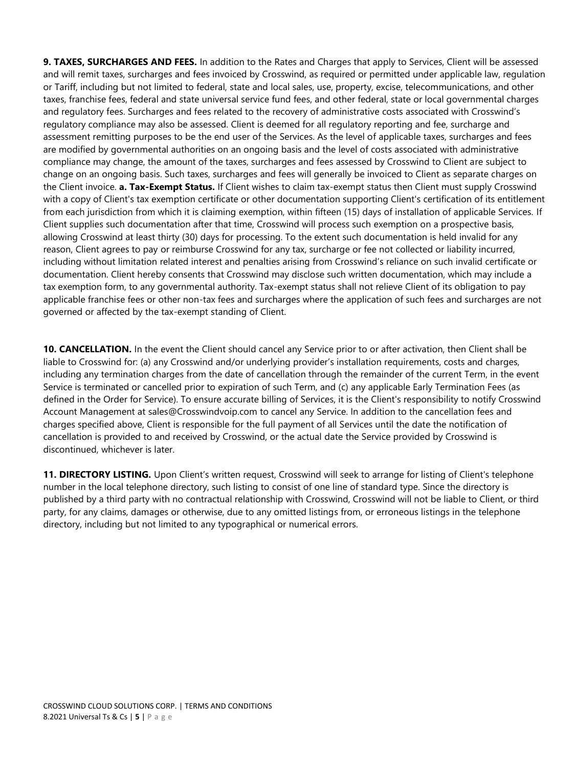**9. TAXES, SURCHARGES AND FEES.** In addition to the Rates and Charges that apply to Services, Client will be assessed and will remit taxes, surcharges and fees invoiced by Crosswind, as required or permitted under applicable law, regulation or Tariff, including but not limited to federal, state and local sales, use, property, excise, telecommunications, and other taxes, franchise fees, federal and state universal service fund fees, and other federal, state or local governmental charges and regulatory fees. Surcharges and fees related to the recovery of administrative costs associated with Crosswind's regulatory compliance may also be assessed. Client is deemed for all regulatory reporting and fee, surcharge and assessment remitting purposes to be the end user of the Services. As the level of applicable taxes, surcharges and fees are modified by governmental authorities on an ongoing basis and the level of costs associated with administrative compliance may change, the amount of the taxes, surcharges and fees assessed by Crosswind to Client are subject to change on an ongoing basis. Such taxes, surcharges and fees will generally be invoiced to Client as separate charges on the Client invoice. **a. Tax-Exempt Status.** If Client wishes to claim tax-exempt status then Client must supply Crosswind with a copy of Client's tax exemption certificate or other documentation supporting Client's certification of its entitlement from each jurisdiction from which it is claiming exemption, within fifteen (15) days of installation of applicable Services. If Client supplies such documentation after that time, Crosswind will process such exemption on a prospective basis, allowing Crosswind at least thirty (30) days for processing. To the extent such documentation is held invalid for any reason, Client agrees to pay or reimburse Crosswind for any tax, surcharge or fee not collected or liability incurred, including without limitation related interest and penalties arising from Crosswind's reliance on such invalid certificate or documentation. Client hereby consents that Crosswind may disclose such written documentation, which may include a tax exemption form, to any governmental authority. Tax-exempt status shall not relieve Client of its obligation to pay applicable franchise fees or other non-tax fees and surcharges where the application of such fees and surcharges are not governed or affected by the tax-exempt standing of Client.

**10. CANCELLATION.** In the event the Client should cancel any Service prior to or after activation, then Client shall be liable to Crosswind for: (a) any Crosswind and/or underlying provider's installation requirements, costs and charges, including any termination charges from the date of cancellation through the remainder of the current Term, in the event Service is terminated or cancelled prior to expiration of such Term, and (c) any applicable Early Termination Fees (as defined in the Order for Service). To ensure accurate billing of Services, it is the Client's responsibility to notify Crosswind Account Management at sales@Crosswindvoip.com to cancel any Service. In addition to the cancellation fees and charges specified above, Client is responsible for the full payment of all Services until the date the notification of cancellation is provided to and received by Crosswind, or the actual date the Service provided by Crosswind is discontinued, whichever is later.

11. DIRECTORY LISTING. Upon Client's written request, Crosswind will seek to arrange for listing of Client's telephone number in the local telephone directory, such listing to consist of one line of standard type. Since the directory is published by a third party with no contractual relationship with Crosswind, Crosswind will not be liable to Client, or third party, for any claims, damages or otherwise, due to any omitted listings from, or erroneous listings in the telephone directory, including but not limited to any typographical or numerical errors.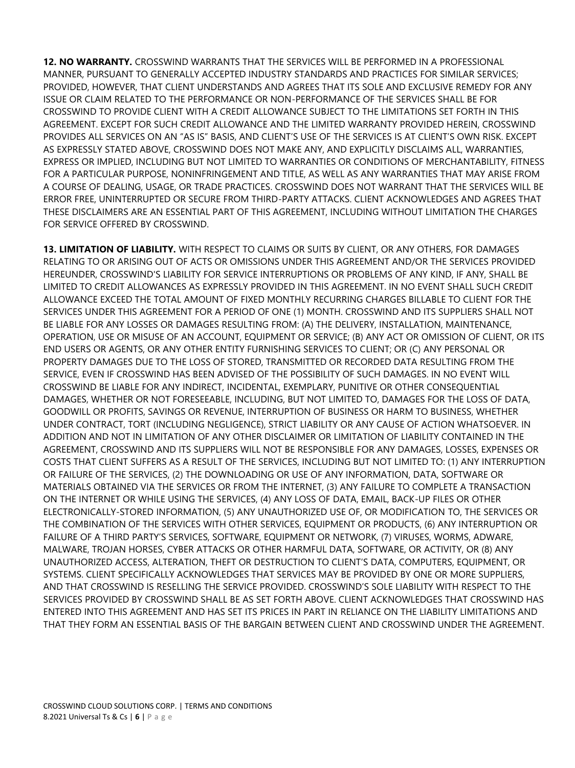**12. NO WARRANTY.** CROSSWIND WARRANTS THAT THE SERVICES WILL BE PERFORMED IN A PROFESSIONAL MANNER, PURSUANT TO GENERALLY ACCEPTED INDUSTRY STANDARDS AND PRACTICES FOR SIMILAR SERVICES; PROVIDED, HOWEVER, THAT CLIENT UNDERSTANDS AND AGREES THAT ITS SOLE AND EXCLUSIVE REMEDY FOR ANY ISSUE OR CLAIM RELATED TO THE PERFORMANCE OR NON-PERFORMANCE OF THE SERVICES SHALL BE FOR CROSSWIND TO PROVIDE CLIENT WITH A CREDIT ALLOWANCE SUBJECT TO THE LIMITATIONS SET FORTH IN THIS AGREEMENT. EXCEPT FOR SUCH CREDIT ALLOWANCE AND THE LIMITED WARRANTY PROVIDED HEREIN, CROSSWIND PROVIDES ALL SERVICES ON AN "AS IS" BASIS, AND CLIENT'S USE OF THE SERVICES IS AT CLIENT'S OWN RISK. EXCEPT AS EXPRESSLY STATED ABOVE, CROSSWIND DOES NOT MAKE ANY, AND EXPLICITLY DISCLAIMS ALL, WARRANTIES, EXPRESS OR IMPLIED, INCLUDING BUT NOT LIMITED TO WARRANTIES OR CONDITIONS OF MERCHANTABILITY, FITNESS FOR A PARTICULAR PURPOSE, NONINFRINGEMENT AND TITLE, AS WELL AS ANY WARRANTIES THAT MAY ARISE FROM A COURSE OF DEALING, USAGE, OR TRADE PRACTICES. CROSSWIND DOES NOT WARRANT THAT THE SERVICES WILL BE ERROR FREE, UNINTERRUPTED OR SECURE FROM THIRD-PARTY ATTACKS. CLIENT ACKNOWLEDGES AND AGREES THAT THESE DISCLAIMERS ARE AN ESSENTIAL PART OF THIS AGREEMENT, INCLUDING WITHOUT LIMITATION THE CHARGES FOR SERVICE OFFERED BY CROSSWIND.

**13. LIMITATION OF LIABILITY.** WITH RESPECT TO CLAIMS OR SUITS BY CLIENT, OR ANY OTHERS, FOR DAMAGES RELATING TO OR ARISING OUT OF ACTS OR OMISSIONS UNDER THIS AGREEMENT AND/OR THE SERVICES PROVIDED HEREUNDER, CROSSWIND'S LIABILITY FOR SERVICE INTERRUPTIONS OR PROBLEMS OF ANY KIND, IF ANY, SHALL BE LIMITED TO CREDIT ALLOWANCES AS EXPRESSLY PROVIDED IN THIS AGREEMENT. IN NO EVENT SHALL SUCH CREDIT ALLOWANCE EXCEED THE TOTAL AMOUNT OF FIXED MONTHLY RECURRING CHARGES BILLABLE TO CLIENT FOR THE SERVICES UNDER THIS AGREEMENT FOR A PERIOD OF ONE (1) MONTH. CROSSWIND AND ITS SUPPLIERS SHALL NOT BE LIABLE FOR ANY LOSSES OR DAMAGES RESULTING FROM: (A) THE DELIVERY, INSTALLATION, MAINTENANCE, OPERATION, USE OR MISUSE OF AN ACCOUNT, EQUIPMENT OR SERVICE; (B) ANY ACT OR OMISSION OF CLIENT, OR ITS END USERS OR AGENTS, OR ANY OTHER ENTITY FURNISHING SERVICES TO CLIENT; OR (C) ANY PERSONAL OR PROPERTY DAMAGES DUE TO THE LOSS OF STORED, TRANSMITTED OR RECORDED DATA RESULTING FROM THE SERVICE, EVEN IF CROSSWIND HAS BEEN ADVISED OF THE POSSIBILITY OF SUCH DAMAGES. IN NO EVENT WILL CROSSWIND BE LIABLE FOR ANY INDIRECT, INCIDENTAL, EXEMPLARY, PUNITIVE OR OTHER CONSEQUENTIAL DAMAGES, WHETHER OR NOT FORESEEABLE, INCLUDING, BUT NOT LIMITED TO, DAMAGES FOR THE LOSS OF DATA, GOODWILL OR PROFITS, SAVINGS OR REVENUE, INTERRUPTION OF BUSINESS OR HARM TO BUSINESS, WHETHER UNDER CONTRACT, TORT (INCLUDING NEGLIGENCE), STRICT LIABILITY OR ANY CAUSE OF ACTION WHATSOEVER. IN ADDITION AND NOT IN LIMITATION OF ANY OTHER DISCLAIMER OR LIMITATION OF LIABILITY CONTAINED IN THE AGREEMENT, CROSSWIND AND ITS SUPPLIERS WILL NOT BE RESPONSIBLE FOR ANY DAMAGES, LOSSES, EXPENSES OR COSTS THAT CLIENT SUFFERS AS A RESULT OF THE SERVICES, INCLUDING BUT NOT LIMITED TO: (1) ANY INTERRUPTION OR FAILURE OF THE SERVICES, (2) THE DOWNLOADING OR USE OF ANY INFORMATION, DATA, SOFTWARE OR MATERIALS OBTAINED VIA THE SERVICES OR FROM THE INTERNET, (3) ANY FAILURE TO COMPLETE A TRANSACTION ON THE INTERNET OR WHILE USING THE SERVICES, (4) ANY LOSS OF DATA, EMAIL, BACK-UP FILES OR OTHER ELECTRONICALLY-STORED INFORMATION, (5) ANY UNAUTHORIZED USE OF, OR MODIFICATION TO, THE SERVICES OR THE COMBINATION OF THE SERVICES WITH OTHER SERVICES, EQUIPMENT OR PRODUCTS, (6) ANY INTERRUPTION OR FAILURE OF A THIRD PARTY'S SERVICES, SOFTWARE, EQUIPMENT OR NETWORK, (7) VIRUSES, WORMS, ADWARE, MALWARE, TROJAN HORSES, CYBER ATTACKS OR OTHER HARMFUL DATA, SOFTWARE, OR ACTIVITY, OR (8) ANY UNAUTHORIZED ACCESS, ALTERATION, THEFT OR DESTRUCTION TO CLIENT'S DATA, COMPUTERS, EQUIPMENT, OR SYSTEMS. CLIENT SPECIFICALLY ACKNOWLEDGES THAT SERVICES MAY BE PROVIDED BY ONE OR MORE SUPPLIERS, AND THAT CROSSWIND IS RESELLING THE SERVICE PROVIDED. CROSSWIND'S SOLE LIABILITY WITH RESPECT TO THE SERVICES PROVIDED BY CROSSWIND SHALL BE AS SET FORTH ABOVE. CLIENT ACKNOWLEDGES THAT CROSSWIND HAS ENTERED INTO THIS AGREEMENT AND HAS SET ITS PRICES IN PART IN RELIANCE ON THE LIABILITY LIMITATIONS AND THAT THEY FORM AN ESSENTIAL BASIS OF THE BARGAIN BETWEEN CLIENT AND CROSSWIND UNDER THE AGREEMENT.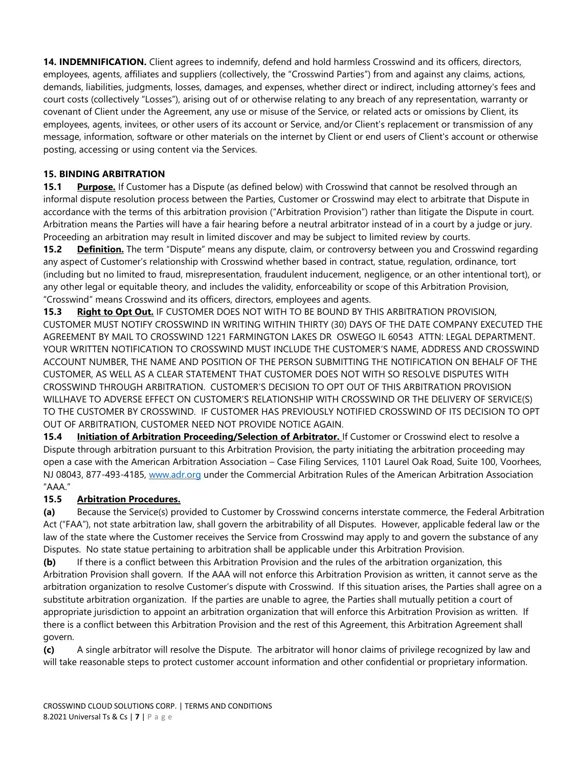**14. INDEMNIFICATION.** Client agrees to indemnify, defend and hold harmless Crosswind and its officers, directors, employees, agents, affiliates and suppliers (collectively, the "Crosswind Parties") from and against any claims, actions, demands, liabilities, judgments, losses, damages, and expenses, whether direct or indirect, including attorney's fees and court costs (collectively "Losses"), arising out of or otherwise relating to any breach of any representation, warranty or covenant of Client under the Agreement, any use or misuse of the Service, or related acts or omissions by Client, its employees, agents, invitees, or other users of its account or Service, and/or Client's replacement or transmission of any message, information, software or other materials on the internet by Client or end users of Client's account or otherwise posting, accessing or using content via the Services.

## **15. BINDING ARBITRATION**

**15.1 Purpose.** If Customer has a Dispute (as defined below) with Crosswind that cannot be resolved through an informal dispute resolution process between the Parties, Customer or Crosswind may elect to arbitrate that Dispute in accordance with the terms of this arbitration provision ("Arbitration Provision") rather than litigate the Dispute in court. Arbitration means the Parties will have a fair hearing before a neutral arbitrator instead of in a court by a judge or jury. Proceeding an arbitration may result in limited discover and may be subject to limited review by courts.

**15.2 Definition.** The term "Dispute" means any dispute, claim, or controversy between you and Crosswind regarding any aspect of Customer's relationship with Crosswind whether based in contract, statue, regulation, ordinance, tort (including but no limited to fraud, misrepresentation, fraudulent inducement, negligence, or an other intentional tort), or any other legal or equitable theory, and includes the validity, enforceability or scope of this Arbitration Provision, "Crosswind" means Crosswind and its officers, directors, employees and agents.

**15.3 Right to Opt Out.** IF CUSTOMER DOES NOT WITH TO BE BOUND BY THIS ARBITRATION PROVISION, CUSTOMER MUST NOTIFY CROSSWIND IN WRITING WITHIN THIRTY (30) DAYS OF THE DATE COMPANY EXECUTED THE AGREEMENT BY MAIL TO CROSSWIND 1221 FARMINGTON LAKES DR OSWEGO IL 60543 ATTN: LEGAL DEPARTMENT. YOUR WRITTEN NOTIFICATION TO CROSSWIND MUST INCLUDE THE CUSTOMER'S NAME, ADDRESS AND CROSSWIND ACCOUNT NUMBER, THE NAME AND POSITION OF THE PERSON SUBMITTING THE NOTIFICATION ON BEHALF OF THE CUSTOMER, AS WELL AS A CLEAR STATEMENT THAT CUSTOMER DOES NOT WITH SO RESOLVE DISPUTES WITH CROSSWIND THROUGH ARBITRATION. CUSTOMER'S DECISION TO OPT OUT OF THIS ARBITRATION PROVISION WILLHAVE TO ADVERSE EFFECT ON CUSTOMER'S RELATIONSHIP WITH CROSSWIND OR THE DELIVERY OF SERVICE(S) TO THE CUSTOMER BY CROSSWIND. IF CUSTOMER HAS PREVIOUSLY NOTIFIED CROSSWIND OF ITS DECISION TO OPT OUT OF ARBITRATION, CUSTOMER NEED NOT PROVIDE NOTICE AGAIN.

**15.4 Initiation of Arbitration Proceeding/Selection of Arbitrator.** If Customer or Crosswind elect to resolve a Dispute through arbitration pursuant to this Arbitration Provision, the party initiating the arbitration proceeding may open a case with the American Arbitration Association – Case Filing Services, 1101 Laurel Oak Road, Suite 100, Voorhees, NJ 08043, 877-493-4185, [www.adr.org](http://www.adr.org/) under the Commercial Arbitration Rules of the American Arbitration Association "AAA."

## **15.5 Arbitration Procedures.**

**(a)** Because the Service(s) provided to Customer by Crosswind concerns interstate commerce, the Federal Arbitration Act ("FAA"), not state arbitration law, shall govern the arbitrability of all Disputes. However, applicable federal law or the law of the state where the Customer receives the Service from Crosswind may apply to and govern the substance of any Disputes. No state statue pertaining to arbitration shall be applicable under this Arbitration Provision.

**(b)** If there is a conflict between this Arbitration Provision and the rules of the arbitration organization, this Arbitration Provision shall govern. If the AAA will not enforce this Arbitration Provision as written, it cannot serve as the arbitration organization to resolve Customer's dispute with Crosswind. If this situation arises, the Parties shall agree on a substitute arbitration organization. If the parties are unable to agree, the Parties shall mutually petition a court of appropriate jurisdiction to appoint an arbitration organization that will enforce this Arbitration Provision as written. If there is a conflict between this Arbitration Provision and the rest of this Agreement, this Arbitration Agreement shall govern.

**(c)** A single arbitrator will resolve the Dispute. The arbitrator will honor claims of privilege recognized by law and will take reasonable steps to protect customer account information and other confidential or proprietary information.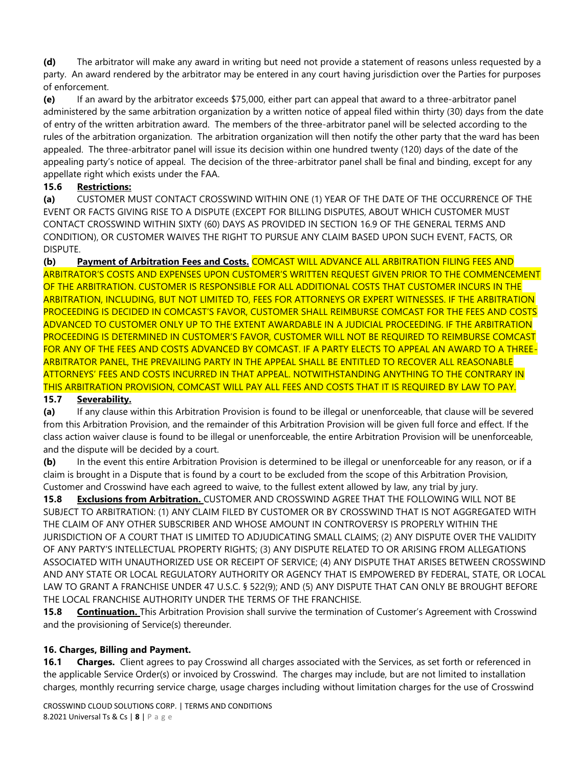**(d)** The arbitrator will make any award in writing but need not provide a statement of reasons unless requested by a party. An award rendered by the arbitrator may be entered in any court having jurisdiction over the Parties for purposes of enforcement.

**(e)** If an award by the arbitrator exceeds \$75,000, either part can appeal that award to a three-arbitrator panel administered by the same arbitration organization by a written notice of appeal filed within thirty (30) days from the date of entry of the written arbitration award. The members of the three-arbitrator panel will be selected according to the rules of the arbitration organization. The arbitration organization will then notify the other party that the ward has been appealed. The three-arbitrator panel will issue its decision within one hundred twenty (120) days of the date of the appealing party's notice of appeal. The decision of the three-arbitrator panel shall be final and binding, except for any appellate right which exists under the FAA.

# **15.6 Restrictions:**

**(a)** CUSTOMER MUST CONTACT CROSSWIND WITHIN ONE (1) YEAR OF THE DATE OF THE OCCURRENCE OF THE EVENT OR FACTS GIVING RISE TO A DISPUTE (EXCEPT FOR BILLING DISPUTES, ABOUT WHICH CUSTOMER MUST CONTACT CROSSWIND WITHIN SIXTY (60) DAYS AS PROVIDED IN SECTION 16.9 OF THE GENERAL TERMS AND CONDITION), OR CUSTOMER WAIVES THE RIGHT TO PURSUE ANY CLAIM BASED UPON SUCH EVENT, FACTS, OR DISPUTE.

**(b) Payment of Arbitration Fees and Costs.** COMCAST WILL ADVANCE ALL ARBITRATION FILING FEES AND ARBITRATOR'S COSTS AND EXPENSES UPON CUSTOMER'S WRITTEN REQUEST GIVEN PRIOR TO THE COMMENCEMENT OF THE ARBITRATION. CUSTOMER IS RESPONSIBLE FOR ALL ADDITIONAL COSTS THAT CUSTOMER INCURS IN THE ARBITRATION, INCLUDING, BUT NOT LIMITED TO, FEES FOR ATTORNEYS OR EXPERT WITNESSES. IF THE ARBITRATION PROCEEDING IS DECIDED IN COMCAST'S FAVOR, CUSTOMER SHALL REIMBURSE COMCAST FOR THE FEES AND COSTS ADVANCED TO CUSTOMER ONLY UP TO THE EXTENT AWARDABLE IN A JUDICIAL PROCEEDING. IF THE ARBITRATION PROCEEDING IS DETERMINED IN CUSTOMER'S FAVOR, CUSTOMER WILL NOT BE REQUIRED TO REIMBURSE COMCAST FOR ANY OF THE FEES AND COSTS ADVANCED BY COMCAST. IF A PARTY ELECTS TO APPEAL AN AWARD TO A THREE-ARBITRATOR PANEL, THE PREVAILING PARTY IN THE APPEAL SHALL BE ENTITLED TO RECOVER ALL REASONABLE ATTORNEYS' FEES AND COSTS INCURRED IN THAT APPEAL. NOTWITHSTANDING ANYTHING TO THE CONTRARY IN THIS ARBITRATION PROVISION, COMCAST WILL PAY ALL FEES AND COSTS THAT IT IS REQUIRED BY LAW TO PAY.

## **15.7 Severability.**

**(a)** If any clause within this Arbitration Provision is found to be illegal or unenforceable, that clause will be severed from this Arbitration Provision, and the remainder of this Arbitration Provision will be given full force and effect. If the class action waiver clause is found to be illegal or unenforceable, the entire Arbitration Provision will be unenforceable, and the dispute will be decided by a court.

**(b)** In the event this entire Arbitration Provision is determined to be illegal or unenforceable for any reason, or if a claim is brought in a Dispute that is found by a court to be excluded from the scope of this Arbitration Provision, Customer and Crosswind have each agreed to waive, to the fullest extent allowed by law, any trial by jury.

**15.8 Exclusions from Arbitration.** CUSTOMER AND CROSSWIND AGREE THAT THE FOLLOWING WILL NOT BE SUBJECT TO ARBITRATION: (1) ANY CLAIM FILED BY CUSTOMER OR BY CROSSWIND THAT IS NOT AGGREGATED WITH THE CLAIM OF ANY OTHER SUBSCRIBER AND WHOSE AMOUNT IN CONTROVERSY IS PROPERLY WITHIN THE JURISDICTION OF A COURT THAT IS LIMITED TO ADJUDICATING SMALL CLAIMS; (2) ANY DISPUTE OVER THE VALIDITY OF ANY PARTY'S INTELLECTUAL PROPERTY RIGHTS; (3) ANY DISPUTE RELATED TO OR ARISING FROM ALLEGATIONS ASSOCIATED WITH UNAUTHORIZED USE OR RECEIPT OF SERVICE; (4) ANY DISPUTE THAT ARISES BETWEEN CROSSWIND AND ANY STATE OR LOCAL REGULATORY AUTHORITY OR AGENCY THAT IS EMPOWERED BY FEDERAL, STATE, OR LOCAL LAW TO GRANT A FRANCHISE UNDER 47 U.S.C. § 522(9); AND (5) ANY DISPUTE THAT CAN ONLY BE BROUGHT BEFORE THE LOCAL FRANCHISE AUTHORITY UNDER THE TERMS OF THE FRANCHISE.

**15.8 Continuation.** This Arbitration Provision shall survive the termination of Customer's Agreement with Crosswind and the provisioning of Service(s) thereunder.

## **16. Charges, Billing and Payment.**

**16.1 Charges.** Client agrees to pay Crosswind all charges associated with the Services, as set forth or referenced in the applicable Service Order(s) or invoiced by Crosswind. The charges may include, but are not limited to installation charges, monthly recurring service charge, usage charges including without limitation charges for the use of Crosswind

CROSSWIND CLOUD SOLUTIONS CORP. | TERMS AND CONDITIONS 8.2021 Universal Ts & Cs | **8** | P a g e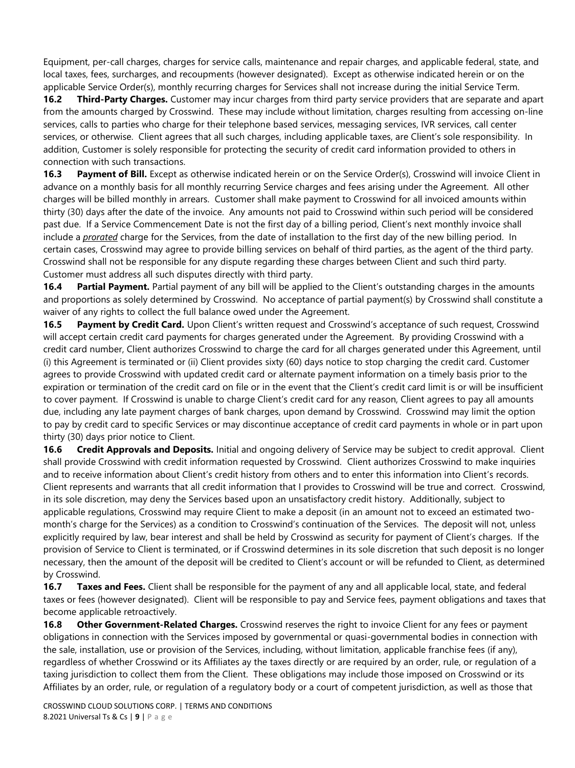Equipment, per-call charges, charges for service calls, maintenance and repair charges, and applicable federal, state, and local taxes, fees, surcharges, and recoupments (however designated). Except as otherwise indicated herein or on the applicable Service Order(s), monthly recurring charges for Services shall not increase during the initial Service Term.

**16.2 Third-Party Charges.** Customer may incur charges from third party service providers that are separate and apart from the amounts charged by Crosswind. These may include without limitation, charges resulting from accessing on-line services, calls to parties who charge for their telephone based services, messaging services, IVR services, call center services, or otherwise. Client agrees that all such charges, including applicable taxes, are Client's sole responsibility. In addition, Customer is solely responsible for protecting the security of credit card information provided to others in connection with such transactions.

**16.3 Payment of Bill.** Except as otherwise indicated herein or on the Service Order(s), Crosswind will invoice Client in advance on a monthly basis for all monthly recurring Service charges and fees arising under the Agreement. All other charges will be billed monthly in arrears. Customer shall make payment to Crosswind for all invoiced amounts within thirty (30) days after the date of the invoice. Any amounts not paid to Crosswind within such period will be considered past due. If a Service Commencement Date is not the first day of a billing period, Client's next monthly invoice shall include a *prorated* charge for the Services, from the date of installation to the first day of the new billing period. In certain cases, Crosswind may agree to provide billing services on behalf of third parties, as the agent of the third party. Crosswind shall not be responsible for any dispute regarding these charges between Client and such third party. Customer must address all such disputes directly with third party.

**16.4 Partial Payment.** Partial payment of any bill will be applied to the Client's outstanding charges in the amounts and proportions as solely determined by Crosswind. No acceptance of partial payment(s) by Crosswind shall constitute a waiver of any rights to collect the full balance owed under the Agreement.

**16.5 Payment by Credit Card.** Upon Client's written request and Crosswind's acceptance of such request, Crosswind will accept certain credit card payments for charges generated under the Agreement. By providing Crosswind with a credit card number, Client authorizes Crosswind to charge the card for all charges generated under this Agreement, until (i) this Agreement is terminated or (ii) Client provides sixty (60) days notice to stop charging the credit card. Customer agrees to provide Crosswind with updated credit card or alternate payment information on a timely basis prior to the expiration or termination of the credit card on file or in the event that the Client's credit card limit is or will be insufficient to cover payment. If Crosswind is unable to charge Client's credit card for any reason, Client agrees to pay all amounts due, including any late payment charges of bank charges, upon demand by Crosswind. Crosswind may limit the option to pay by credit card to specific Services or may discontinue acceptance of credit card payments in whole or in part upon thirty (30) days prior notice to Client.

**16.6 Credit Approvals and Deposits.** Initial and ongoing delivery of Service may be subject to credit approval. Client shall provide Crosswind with credit information requested by Crosswind. Client authorizes Crosswind to make inquiries and to receive information about Client's credit history from others and to enter this information into Client's records. Client represents and warrants that all credit information that I provides to Crosswind will be true and correct. Crosswind, in its sole discretion, may deny the Services based upon an unsatisfactory credit history. Additionally, subject to applicable regulations, Crosswind may require Client to make a deposit (in an amount not to exceed an estimated twomonth's charge for the Services) as a condition to Crosswind's continuation of the Services. The deposit will not, unless explicitly required by law, bear interest and shall be held by Crosswind as security for payment of Client's charges. If the provision of Service to Client is terminated, or if Crosswind determines in its sole discretion that such deposit is no longer necessary, then the amount of the deposit will be credited to Client's account or will be refunded to Client, as determined by Crosswind.

**16.7 Taxes and Fees.** Client shall be responsible for the payment of any and all applicable local, state, and federal taxes or fees (however designated). Client will be responsible to pay and Service fees, payment obligations and taxes that become applicable retroactively.

**16.8 Other Government-Related Charges.** Crosswind reserves the right to invoice Client for any fees or payment obligations in connection with the Services imposed by governmental or quasi-governmental bodies in connection with the sale, installation, use or provision of the Services, including, without limitation, applicable franchise fees (if any), regardless of whether Crosswind or its Affiliates ay the taxes directly or are required by an order, rule, or regulation of a taxing jurisdiction to collect them from the Client. These obligations may include those imposed on Crosswind or its Affiliates by an order, rule, or regulation of a regulatory body or a court of competent jurisdiction, as well as those that

CROSSWIND CLOUD SOLUTIONS CORP. | TERMS AND CONDITIONS 8.2021 Universal Ts & Cs | **9** | P a g e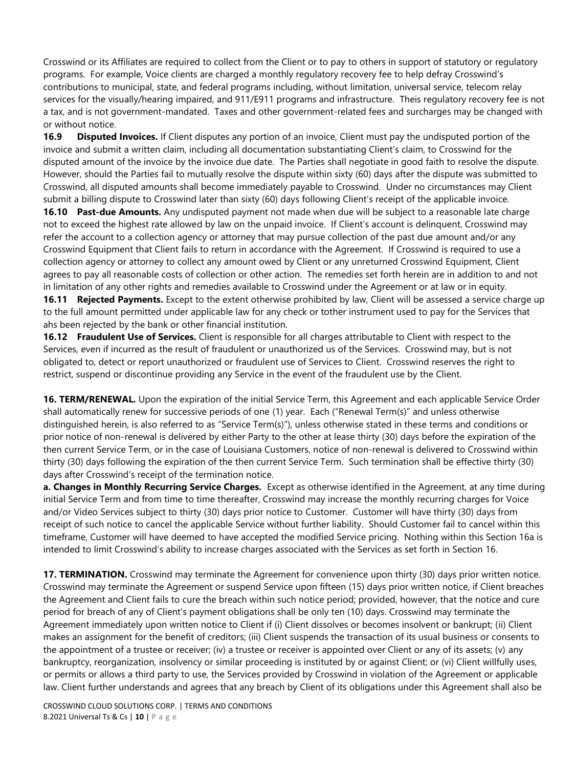Crosswind or its Affiliates are required to collect from the Client or to pay to others in support of statutory or regulatory programs. For example, Voice clients are charged a monthly regulatory recovery fee to help defray Crosswind's contributions to municipal, state, and federal programs including, without limitation, universal service, telecom relay services for the visually/hearing impaired, and 911/E911 programs and infrastructure. Theis regulatory recovery fee is not a tax, and is not government-mandated. Taxes and other government-related fees and surcharges may be changed with or without notice.

**16.9 Disputed Invoices.** If Client disputes any portion of an invoice, Client must pay the undisputed portion of the invoice and submit a written claim, including all documentation substantiating Client's claim, to Crosswind for the disputed amount of the invoice by the invoice due date. The Parties shall negotiate in good faith to resolve the dispute. However, should the Parties fail to mutually resolve the dispute within sixty (60) days after the dispute was submitted to Crosswind, all disputed amounts shall become immediately payable to Crosswind. Under no circumstances may Client submit a billing dispute to Crosswind later than sixty (60) days following Client's receipt of the applicable invoice.

**16.10 Past-due Amounts.** Any undisputed payment not made when due will be subject to a reasonable late charge not to exceed the highest rate allowed by law on the unpaid invoice. If Client's account is delinquent, Crosswind may refer the account to a collection agency or attorney that may pursue collection of the past due amount and/or any Crosswind Equipment that Client fails to return in accordance with the Agreement. If Crosswind is required to use a collection agency or attorney to collect any amount owed by Client or any unreturned Crosswind Equipment, Client agrees to pay all reasonable costs of collection or other action. The remedies set forth herein are in addition to and not in limitation of any other rights and remedies available to Crosswind under the Agreement or at law or in equity.

**16.11 Rejected Payments.** Except to the extent otherwise prohibited by law, Client will be assessed a service charge up to the full amount permitted under applicable law for any check or tother instrument used to pay for the Services that ahs been rejected by the bank or other financial institution.

**16.12 Fraudulent Use of Services.** Client is responsible for all charges attributable to Client with respect to the Services, even if incurred as the result of fraudulent or unauthorized us of the Services. Crosswind may, but is not obligated to, detect or report unauthorized or fraudulent use of Services to Client. Crosswind reserves the right to restrict, suspend or discontinue providing any Service in the event of the fraudulent use by the Client.

**16. TERM/RENEWAL.** Upon the expiration of the initial Service Term, this Agreement and each applicable Service Order shall automatically renew for successive periods of one (1) year. Each ("Renewal Term(s)" and unless otherwise distinguished herein, is also referred to as "Service Term(s)"), unless otherwise stated in these terms and conditions or prior notice of non-renewal is delivered by either Party to the other at lease thirty (30) days before the expiration of the then current Service Term, or in the case of Louisiana Customers, notice of non-renewal is delivered to Crosswind within thirty (30) days following the expiration of the then current Service Term. Such termination shall be effective thirty (30) days after Crosswind's receipt of the termination notice.

**a. Changes in Monthly Recurring Service Charges.** Except as otherwise identified in the Agreement, at any time during initial Service Term and from time to time thereafter, Crosswind may increase the monthly recurring charges for Voice and/or Video Services subject to thirty (30) days prior notice to Customer. Customer will have thirty (30) days from receipt of such notice to cancel the applicable Service without further liability. Should Customer fail to cancel within this timeframe, Customer will have deemed to have accepted the modified Service pricing. Nothing within this Section 16a is intended to limit Crosswind's ability to increase charges associated with the Services as set forth in Section 16.

**17. TERMINATION.** Crosswind may terminate the Agreement for convenience upon thirty (30) days prior written notice. Crosswind may terminate the Agreement or suspend Service upon fifteen (15) days prior written notice, if Client breaches the Agreement and Client fails to cure the breach within such notice period; provided, however, that the notice and cure period for breach of any of Client's payment obligations shall be only ten (10) days. Crosswind may terminate the Agreement immediately upon written notice to Client if (i) Client dissolves or becomes insolvent or bankrupt; (ii) Client makes an assignment for the benefit of creditors; (iii) Client suspends the transaction of its usual business or consents to the appointment of a trustee or receiver; (iv) a trustee or receiver is appointed over Client or any of its assets; (v) any bankruptcy, reorganization, insolvency or similar proceeding is instituted by or against Client; or (vi) Client willfully uses, or permits or allows a third party to use, the Services provided by Crosswind in violation of the Agreement or applicable law. Client further understands and agrees that any breach by Client of its obligations under this Agreement shall also be

CROSSWIND CLOUD SOLUTIONS CORP. | TERMS AND CONDITIONS 8.2021 Universal Ts & Cs | **10** | P a g e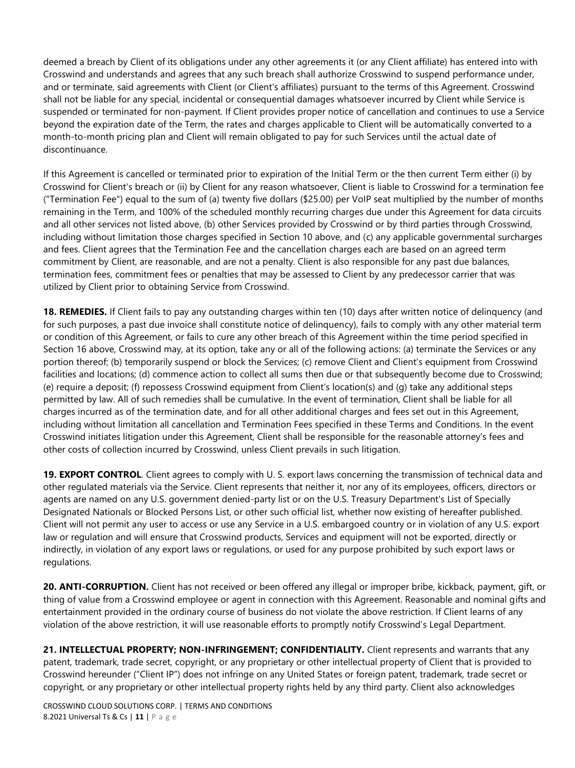deemed a breach by Client of its obligations under any other agreements it (or any Client affiliate) has entered into with Crosswind and understands and agrees that any such breach shall authorize Crosswind to suspend performance under, and or terminate, said agreements with Client (or Client's affiliates) pursuant to the terms of this Agreement. Crosswind shall not be liable for any special, incidental or consequential damages whatsoever incurred by Client while Service is suspended or terminated for non-payment. If Client provides proper notice of cancellation and continues to use a Service beyond the expiration date of the Term, the rates and charges applicable to Client will be automatically converted to a month-to-month pricing plan and Client will remain obligated to pay for such Services until the actual date of discontinuance.

If this Agreement is cancelled or terminated prior to expiration of the Initial Term or the then current Term either (i) by Crosswind for Client's breach or (ii) by Client for any reason whatsoever, Client is liable to Crosswind for a termination fee ("Termination Fee") equal to the sum of (a) twenty five dollars (\$25.00) per VoIP seat multiplied by the number of months remaining in the Term, and 100% of the scheduled monthly recurring charges due under this Agreement for data circuits and all other services not listed above, (b) other Services provided by Crosswind or by third parties through Crosswind, including without limitation those charges specified in Section 10 above, and (c) any applicable governmental surcharges and fees. Client agrees that the Termination Fee and the cancellation charges each are based on an agreed term commitment by Client, are reasonable, and are not a penalty. Client is also responsible for any past due balances, termination fees, commitment fees or penalties that may be assessed to Client by any predecessor carrier that was utilized by Client prior to obtaining Service from Crosswind.

**18. REMEDIES.** If Client fails to pay any outstanding charges within ten (10) days after written notice of delinquency (and for such purposes, a past due invoice shall constitute notice of delinquency), fails to comply with any other material term or condition of this Agreement, or fails to cure any other breach of this Agreement within the time period specified in Section 16 above, Crosswind may, at its option, take any or all of the following actions: (a) terminate the Services or any portion thereof; (b) temporarily suspend or block the Services; (c) remove Client and Client's equipment from Crosswind facilities and locations; (d) commence action to collect all sums then due or that subsequently become due to Crosswind; (e) require a deposit; (f) repossess Crosswind equipment from Client's location(s) and (g) take any additional steps permitted by law. All of such remedies shall be cumulative. In the event of termination, Client shall be liable for all charges incurred as of the termination date, and for all other additional charges and fees set out in this Agreement, including without limitation all cancellation and Termination Fees specified in these Terms and Conditions. In the event Crosswind initiates litigation under this Agreement, Client shall be responsible for the reasonable attorney's fees and other costs of collection incurred by Crosswind, unless Client prevails in such litigation.

**19. EXPORT CONTROL**. Client agrees to comply with U. S. export laws concerning the transmission of technical data and other regulated materials via the Service. Client represents that neither it, nor any of its employees, officers, directors or agents are named on any U.S. government denied-party list or on the U.S. Treasury Department's List of Specially Designated Nationals or Blocked Persons List, or other such official list, whether now existing of hereafter published. Client will not permit any user to access or use any Service in a U.S. embargoed country or in violation of any U.S. export law or regulation and will ensure that Crosswind products, Services and equipment will not be exported, directly or indirectly, in violation of any export laws or regulations, or used for any purpose prohibited by such export laws or regulations.

**20. ANTI-CORRUPTION.** Client has not received or been offered any illegal or improper bribe, kickback, payment, gift, or thing of value from a Crosswind employee or agent in connection with this Agreement. Reasonable and nominal gifts and entertainment provided in the ordinary course of business do not violate the above restriction. If Client learns of any violation of the above restriction, it will use reasonable efforts to promptly notify Crosswind's Legal Department.

**21. INTELLECTUAL PROPERTY; NON-INFRINGEMENT; CONFIDENTIALITY.** Client represents and warrants that any patent, trademark, trade secret, copyright, or any proprietary or other intellectual property of Client that is provided to Crosswind hereunder ("Client IP") does not infringe on any United States or foreign patent, trademark, trade secret or copyright, or any proprietary or other intellectual property rights held by any third party. Client also acknowledges

CROSSWIND CLOUD SOLUTIONS CORP. | TERMS AND CONDITIONS 8.2021 Universal Ts & Cs | **11** | P a g e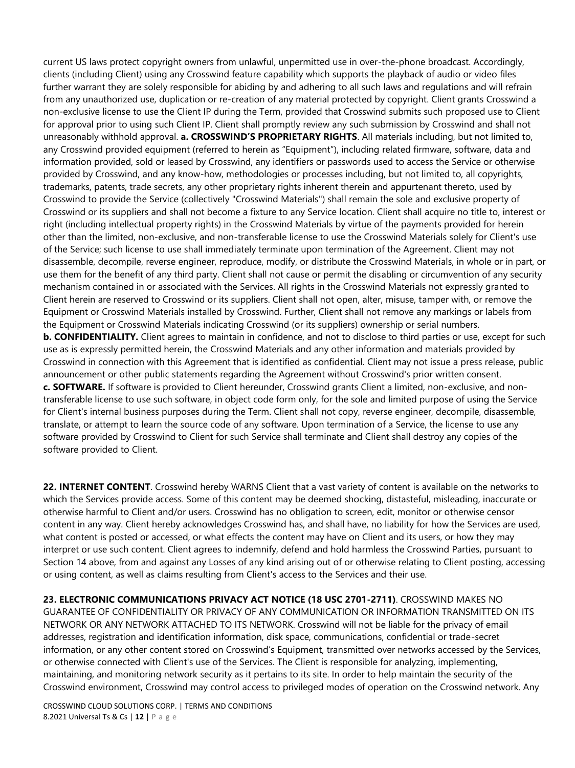current US laws protect copyright owners from unlawful, unpermitted use in over-the-phone broadcast. Accordingly, clients (including Client) using any Crosswind feature capability which supports the playback of audio or video files further warrant they are solely responsible for abiding by and adhering to all such laws and regulations and will refrain from any unauthorized use, duplication or re-creation of any material protected by copyright. Client grants Crosswind a non-exclusive license to use the Client IP during the Term, provided that Crosswind submits such proposed use to Client for approval prior to using such Client IP. Client shall promptly review any such submission by Crosswind and shall not unreasonably withhold approval. **a. CROSSWIND'S PROPRIETARY RIGHTS**. All materials including, but not limited to, any Crosswind provided equipment (referred to herein as "Equipment"), including related firmware, software, data and information provided, sold or leased by Crosswind, any identifiers or passwords used to access the Service or otherwise provided by Crosswind, and any know-how, methodologies or processes including, but not limited to, all copyrights, trademarks, patents, trade secrets, any other proprietary rights inherent therein and appurtenant thereto, used by Crosswind to provide the Service (collectively "Crosswind Materials") shall remain the sole and exclusive property of Crosswind or its suppliers and shall not become a fixture to any Service location. Client shall acquire no title to, interest or right (including intellectual property rights) in the Crosswind Materials by virtue of the payments provided for herein other than the limited, non-exclusive, and non-transferable license to use the Crosswind Materials solely for Client's use of the Service; such license to use shall immediately terminate upon termination of the Agreement. Client may not disassemble, decompile, reverse engineer, reproduce, modify, or distribute the Crosswind Materials, in whole or in part, or use them for the benefit of any third party. Client shall not cause or permit the disabling or circumvention of any security mechanism contained in or associated with the Services. All rights in the Crosswind Materials not expressly granted to Client herein are reserved to Crosswind or its suppliers. Client shall not open, alter, misuse, tamper with, or remove the Equipment or Crosswind Materials installed by Crosswind. Further, Client shall not remove any markings or labels from the Equipment or Crosswind Materials indicating Crosswind (or its suppliers) ownership or serial numbers. **b. CONFIDENTIALITY.** Client agrees to maintain in confidence, and not to disclose to third parties or use, except for such use as is expressly permitted herein, the Crosswind Materials and any other information and materials provided by Crosswind in connection with this Agreement that is identified as confidential. Client may not issue a press release, public announcement or other public statements regarding the Agreement without Crosswind's prior written consent. **c. SOFTWARE.** If software is provided to Client hereunder, Crosswind grants Client a limited, non-exclusive, and nontransferable license to use such software, in object code form only, for the sole and limited purpose of using the Service for Client's internal business purposes during the Term. Client shall not copy, reverse engineer, decompile, disassemble, translate, or attempt to learn the source code of any software. Upon termination of a Service, the license to use any software provided by Crosswind to Client for such Service shall terminate and Client shall destroy any copies of the software provided to Client.

**22. INTERNET CONTENT**. Crosswind hereby WARNS Client that a vast variety of content is available on the networks to which the Services provide access. Some of this content may be deemed shocking, distasteful, misleading, inaccurate or otherwise harmful to Client and/or users. Crosswind has no obligation to screen, edit, monitor or otherwise censor content in any way. Client hereby acknowledges Crosswind has, and shall have, no liability for how the Services are used, what content is posted or accessed, or what effects the content may have on Client and its users, or how they may interpret or use such content. Client agrees to indemnify, defend and hold harmless the Crosswind Parties, pursuant to Section 14 above, from and against any Losses of any kind arising out of or otherwise relating to Client posting, accessing or using content, as well as claims resulting from Client's access to the Services and their use.

**23. ELECTRONIC COMMUNICATIONS PRIVACY ACT NOTICE (18 USC 2701-2711)**. CROSSWIND MAKES NO GUARANTEE OF CONFIDENTIALITY OR PRIVACY OF ANY COMMUNICATION OR INFORMATION TRANSMITTED ON ITS NETWORK OR ANY NETWORK ATTACHED TO ITS NETWORK. Crosswind will not be liable for the privacy of email addresses, registration and identification information, disk space, communications, confidential or trade-secret information, or any other content stored on Crosswind's Equipment, transmitted over networks accessed by the Services, or otherwise connected with Client's use of the Services. The Client is responsible for analyzing, implementing, maintaining, and monitoring network security as it pertains to its site. In order to help maintain the security of the Crosswind environment, Crosswind may control access to privileged modes of operation on the Crosswind network. Any

CROSSWIND CLOUD SOLUTIONS CORP. | TERMS AND CONDITIONS 8.2021 Universal Ts & Cs | **12** | P a g e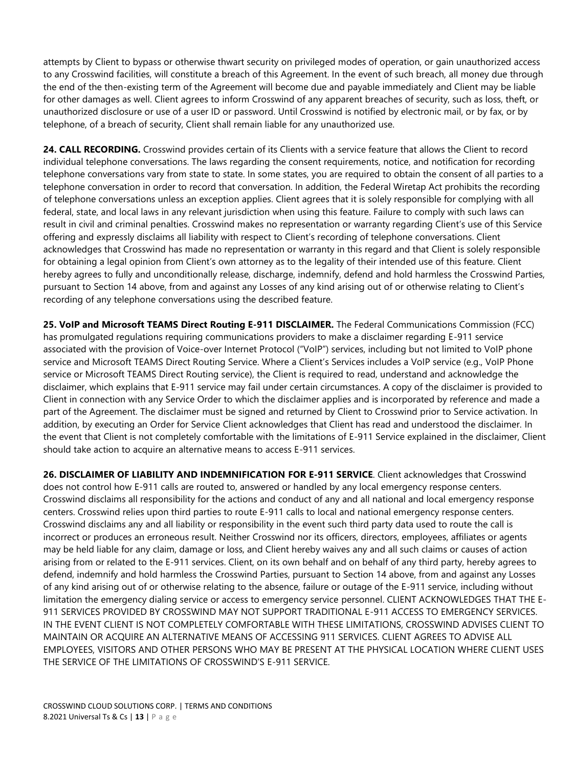attempts by Client to bypass or otherwise thwart security on privileged modes of operation, or gain unauthorized access to any Crosswind facilities, will constitute a breach of this Agreement. In the event of such breach, all money due through the end of the then-existing term of the Agreement will become due and payable immediately and Client may be liable for other damages as well. Client agrees to inform Crosswind of any apparent breaches of security, such as loss, theft, or unauthorized disclosure or use of a user ID or password. Until Crosswind is notified by electronic mail, or by fax, or by telephone, of a breach of security, Client shall remain liable for any unauthorized use.

24. CALL RECORDING. Crosswind provides certain of its Clients with a service feature that allows the Client to record individual telephone conversations. The laws regarding the consent requirements, notice, and notification for recording telephone conversations vary from state to state. In some states, you are required to obtain the consent of all parties to a telephone conversation in order to record that conversation. In addition, the Federal Wiretap Act prohibits the recording of telephone conversations unless an exception applies. Client agrees that it is solely responsible for complying with all federal, state, and local laws in any relevant jurisdiction when using this feature. Failure to comply with such laws can result in civil and criminal penalties. Crosswind makes no representation or warranty regarding Client's use of this Service offering and expressly disclaims all liability with respect to Client's recording of telephone conversations. Client acknowledges that Crosswind has made no representation or warranty in this regard and that Client is solely responsible for obtaining a legal opinion from Client's own attorney as to the legality of their intended use of this feature. Client hereby agrees to fully and unconditionally release, discharge, indemnify, defend and hold harmless the Crosswind Parties, pursuant to Section 14 above, from and against any Losses of any kind arising out of or otherwise relating to Client's recording of any telephone conversations using the described feature.

**25. VoIP and Microsoft TEAMS Direct Routing E-911 DISCLAIMER.** The Federal Communications Commission (FCC) has promulgated regulations requiring communications providers to make a disclaimer regarding E-911 service associated with the provision of Voice-over Internet Protocol ("VoIP") services, including but not limited to VoIP phone service and Microsoft TEAMS Direct Routing Service. Where a Client's Services includes a VoIP service (e.g., VoIP Phone service or Microsoft TEAMS Direct Routing service), the Client is required to read, understand and acknowledge the disclaimer, which explains that E-911 service may fail under certain circumstances. A copy of the disclaimer is provided to Client in connection with any Service Order to which the disclaimer applies and is incorporated by reference and made a part of the Agreement. The disclaimer must be signed and returned by Client to Crosswind prior to Service activation. In addition, by executing an Order for Service Client acknowledges that Client has read and understood the disclaimer. In the event that Client is not completely comfortable with the limitations of E-911 Service explained in the disclaimer, Client should take action to acquire an alternative means to access E-911 services.

**26. DISCLAIMER OF LIABILITY AND INDEMNIFICATION FOR E-911 SERVICE**. Client acknowledges that Crosswind does not control how E-911 calls are routed to, answered or handled by any local emergency response centers. Crosswind disclaims all responsibility for the actions and conduct of any and all national and local emergency response centers. Crosswind relies upon third parties to route E-911 calls to local and national emergency response centers. Crosswind disclaims any and all liability or responsibility in the event such third party data used to route the call is incorrect or produces an erroneous result. Neither Crosswind nor its officers, directors, employees, affiliates or agents may be held liable for any claim, damage or loss, and Client hereby waives any and all such claims or causes of action arising from or related to the E-911 services. Client, on its own behalf and on behalf of any third party, hereby agrees to defend, indemnify and hold harmless the Crosswind Parties, pursuant to Section 14 above, from and against any Losses of any kind arising out of or otherwise relating to the absence, failure or outage of the E-911 service, including without limitation the emergency dialing service or access to emergency service personnel. CLIENT ACKNOWLEDGES THAT THE E-911 SERVICES PROVIDED BY CROSSWIND MAY NOT SUPPORT TRADITIONAL E-911 ACCESS TO EMERGENCY SERVICES. IN THE EVENT CLIENT IS NOT COMPLETELY COMFORTABLE WITH THESE LIMITATIONS, CROSSWIND ADVISES CLIENT TO MAINTAIN OR ACQUIRE AN ALTERNATIVE MEANS OF ACCESSING 911 SERVICES. CLIENT AGREES TO ADVISE ALL EMPLOYEES, VISITORS AND OTHER PERSONS WHO MAY BE PRESENT AT THE PHYSICAL LOCATION WHERE CLIENT USES THE SERVICE OF THE LIMITATIONS OF CROSSWIND'S E-911 SERVICE.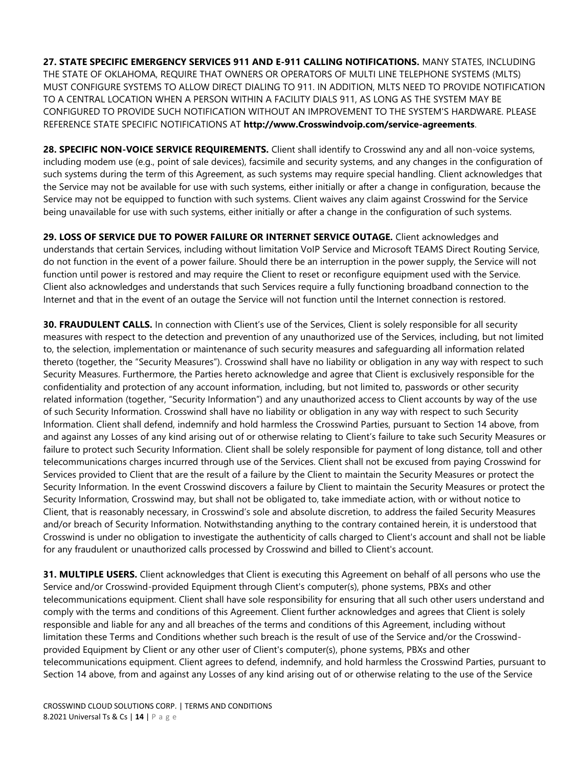**27. STATE SPECIFIC EMERGENCY SERVICES 911 AND E-911 CALLING NOTIFICATIONS.** MANY STATES, INCLUDING THE STATE OF OKLAHOMA, REQUIRE THAT OWNERS OR OPERATORS OF MULTI LINE TELEPHONE SYSTEMS (MLTS) MUST CONFIGURE SYSTEMS TO ALLOW DIRECT DIALING TO 911. IN ADDITION, MLTS NEED TO PROVIDE NOTIFICATION TO A CENTRAL LOCATION WHEN A PERSON WITHIN A FACILITY DIALS 911, AS LONG AS THE SYSTEM MAY BE CONFIGURED TO PROVIDE SUCH NOTIFICATION WITHOUT AN IMPROVEMENT TO THE SYSTEM'S HARDWARE. PLEASE REFERENCE STATE SPECIFIC NOTIFICATIONS AT **http://www.Crosswindvoip.com/service-agreements**.

**28. SPECIFIC NON-VOICE SERVICE REQUIREMENTS.** Client shall identify to Crosswind any and all non-voice systems, including modem use (e.g., point of sale devices), facsimile and security systems, and any changes in the configuration of such systems during the term of this Agreement, as such systems may require special handling. Client acknowledges that the Service may not be available for use with such systems, either initially or after a change in configuration, because the Service may not be equipped to function with such systems. Client waives any claim against Crosswind for the Service being unavailable for use with such systems, either initially or after a change in the configuration of such systems.

**29. LOSS OF SERVICE DUE TO POWER FAILURE OR INTERNET SERVICE OUTAGE.** Client acknowledges and understands that certain Services, including without limitation VoIP Service and Microsoft TEAMS Direct Routing Service, do not function in the event of a power failure. Should there be an interruption in the power supply, the Service will not function until power is restored and may require the Client to reset or reconfigure equipment used with the Service. Client also acknowledges and understands that such Services require a fully functioning broadband connection to the Internet and that in the event of an outage the Service will not function until the Internet connection is restored.

**30. FRAUDULENT CALLS.** In connection with Client's use of the Services, Client is solely responsible for all security measures with respect to the detection and prevention of any unauthorized use of the Services, including, but not limited to, the selection, implementation or maintenance of such security measures and safeguarding all information related thereto (together, the "Security Measures"). Crosswind shall have no liability or obligation in any way with respect to such Security Measures. Furthermore, the Parties hereto acknowledge and agree that Client is exclusively responsible for the confidentiality and protection of any account information, including, but not limited to, passwords or other security related information (together, "Security Information") and any unauthorized access to Client accounts by way of the use of such Security Information. Crosswind shall have no liability or obligation in any way with respect to such Security Information. Client shall defend, indemnify and hold harmless the Crosswind Parties, pursuant to Section 14 above, from and against any Losses of any kind arising out of or otherwise relating to Client's failure to take such Security Measures or failure to protect such Security Information. Client shall be solely responsible for payment of long distance, toll and other telecommunications charges incurred through use of the Services. Client shall not be excused from paying Crosswind for Services provided to Client that are the result of a failure by the Client to maintain the Security Measures or protect the Security Information. In the event Crosswind discovers a failure by Client to maintain the Security Measures or protect the Security Information, Crosswind may, but shall not be obligated to, take immediate action, with or without notice to Client, that is reasonably necessary, in Crosswind's sole and absolute discretion, to address the failed Security Measures and/or breach of Security Information. Notwithstanding anything to the contrary contained herein, it is understood that Crosswind is under no obligation to investigate the authenticity of calls charged to Client's account and shall not be liable for any fraudulent or unauthorized calls processed by Crosswind and billed to Client's account.

**31. MULTIPLE USERS.** Client acknowledges that Client is executing this Agreement on behalf of all persons who use the Service and/or Crosswind-provided Equipment through Client's computer(s), phone systems, PBXs and other telecommunications equipment. Client shall have sole responsibility for ensuring that all such other users understand and comply with the terms and conditions of this Agreement. Client further acknowledges and agrees that Client is solely responsible and liable for any and all breaches of the terms and conditions of this Agreement, including without limitation these Terms and Conditions whether such breach is the result of use of the Service and/or the Crosswindprovided Equipment by Client or any other user of Client's computer(s), phone systems, PBXs and other telecommunications equipment. Client agrees to defend, indemnify, and hold harmless the Crosswind Parties, pursuant to Section 14 above, from and against any Losses of any kind arising out of or otherwise relating to the use of the Service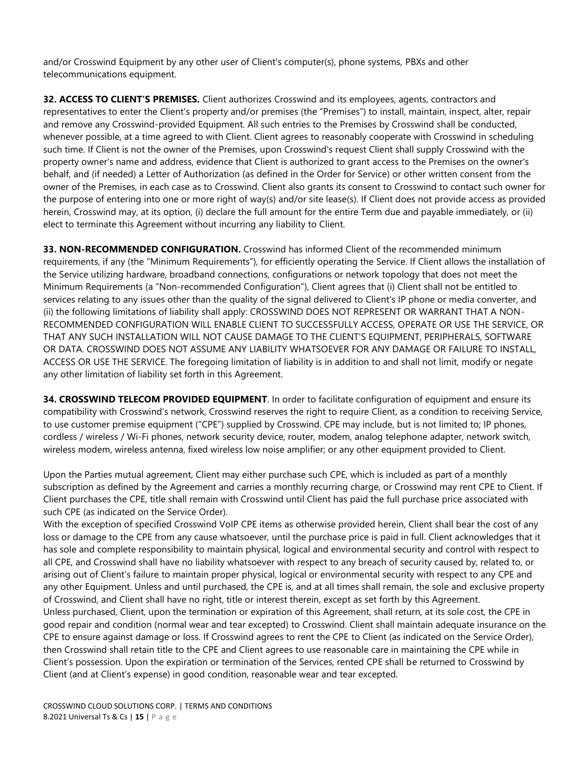and/or Crosswind Equipment by any other user of Client's computer(s), phone systems, PBXs and other telecommunications equipment.

**32. ACCESS TO CLIENT'S PREMISES.** Client authorizes Crosswind and its employees, agents, contractors and representatives to enter the Client's property and/or premises (the "Premises") to install, maintain, inspect, alter, repair and remove any Crosswind-provided Equipment. All such entries to the Premises by Crosswind shall be conducted, whenever possible, at a time agreed to with Client. Client agrees to reasonably cooperate with Crosswind in scheduling such time. If Client is not the owner of the Premises, upon Crosswind's request Client shall supply Crosswind with the property owner's name and address, evidence that Client is authorized to grant access to the Premises on the owner's behalf, and (if needed) a Letter of Authorization (as defined in the Order for Service) or other written consent from the owner of the Premises, in each case as to Crosswind. Client also grants its consent to Crosswind to contact such owner for the purpose of entering into one or more right of way(s) and/or site lease(s). If Client does not provide access as provided herein, Crosswind may, at its option, (i) declare the full amount for the entire Term due and payable immediately, or (ii) elect to terminate this Agreement without incurring any liability to Client.

**33. NON-RECOMMENDED CONFIGURATION.** Crosswind has informed Client of the recommended minimum requirements, if any (the "Minimum Requirements"), for efficiently operating the Service. If Client allows the installation of the Service utilizing hardware, broadband connections, configurations or network topology that does not meet the Minimum Requirements (a "Non-recommended Configuration"), Client agrees that (i) Client shall not be entitled to services relating to any issues other than the quality of the signal delivered to Client's IP phone or media converter, and (ii) the following limitations of liability shall apply: CROSSWIND DOES NOT REPRESENT OR WARRANT THAT A NON-RECOMMENDED CONFIGURATION WILL ENABLE CLIENT TO SUCCESSFULLY ACCESS, OPERATE OR USE THE SERVICE, OR THAT ANY SUCH INSTALLATION WILL NOT CAUSE DAMAGE TO THE CLIENT'S EQUIPMENT, PERIPHERALS, SOFTWARE OR DATA. CROSSWIND DOES NOT ASSUME ANY LIABILITY WHATSOEVER FOR ANY DAMAGE OR FAILURE TO INSTALL, ACCESS OR USE THE SERVICE. The foregoing limitation of liability is in addition to and shall not limit, modify or negate any other limitation of liability set forth in this Agreement.

**34. CROSSWIND TELECOM PROVIDED EQUIPMENT**. In order to facilitate configuration of equipment and ensure its compatibility with Crosswind's network, Crosswind reserves the right to require Client, as a condition to receiving Service, to use customer premise equipment ("CPE") supplied by Crosswind. CPE may include, but is not limited to; IP phones, cordless / wireless / Wi-Fi phones, network security device, router, modem, analog telephone adapter, network switch, wireless modem, wireless antenna, fixed wireless low noise amplifier; or any other equipment provided to Client.

Upon the Parties mutual agreement, Client may either purchase such CPE, which is included as part of a monthly subscription as defined by the Agreement and carries a monthly recurring charge, or Crosswind may rent CPE to Client. If Client purchases the CPE, title shall remain with Crosswind until Client has paid the full purchase price associated with such CPE (as indicated on the Service Order).

With the exception of specified Crosswind VoIP CPE items as otherwise provided herein, Client shall bear the cost of any loss or damage to the CPE from any cause whatsoever, until the purchase price is paid in full. Client acknowledges that it has sole and complete responsibility to maintain physical, logical and environmental security and control with respect to all CPE, and Crosswind shall have no liability whatsoever with respect to any breach of security caused by, related to, or arising out of Client's failure to maintain proper physical, logical or environmental security with respect to any CPE and any other Equipment. Unless and until purchased, the CPE is, and at all times shall remain, the sole and exclusive property of Crosswind, and Client shall have no right, title or interest therein, except as set forth by this Agreement. Unless purchased, Client, upon the termination or expiration of this Agreement, shall return, at its sole cost, the CPE in good repair and condition (normal wear and tear excepted) to Crosswind. Client shall maintain adequate insurance on the CPE to ensure against damage or loss. If Crosswind agrees to rent the CPE to Client (as indicated on the Service Order), then Crosswind shall retain title to the CPE and Client agrees to use reasonable care in maintaining the CPE while in Client's possession. Upon the expiration or termination of the Services, rented CPE shall be returned to Crosswind by Client (and at Client's expense) in good condition, reasonable wear and tear excepted.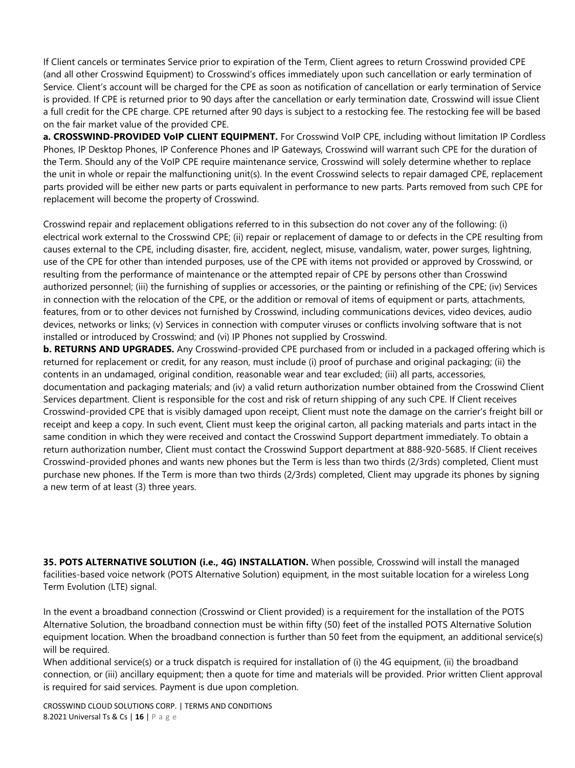If Client cancels or terminates Service prior to expiration of the Term, Client agrees to return Crosswind provided CPE (and all other Crosswind Equipment) to Crosswind's offices immediately upon such cancellation or early termination of Service. Client's account will be charged for the CPE as soon as notification of cancellation or early termination of Service is provided. If CPE is returned prior to 90 days after the cancellation or early termination date, Crosswind will issue Client a full credit for the CPE charge. CPE returned after 90 days is subject to a restocking fee. The restocking fee will be based on the fair market value of the provided CPE.

**a. CROSSWIND-PROVIDED VoIP CLIENT EQUIPMENT.** For Crosswind VoIP CPE, including without limitation IP Cordless Phones, IP Desktop Phones, IP Conference Phones and IP Gateways, Crosswind will warrant such CPE for the duration of the Term. Should any of the VoIP CPE require maintenance service, Crosswind will solely determine whether to replace the unit in whole or repair the malfunctioning unit(s). In the event Crosswind selects to repair damaged CPE, replacement parts provided will be either new parts or parts equivalent in performance to new parts. Parts removed from such CPE for replacement will become the property of Crosswind.

Crosswind repair and replacement obligations referred to in this subsection do not cover any of the following: (i) electrical work external to the Crosswind CPE; (ii) repair or replacement of damage to or defects in the CPE resulting from causes external to the CPE, including disaster, fire, accident, neglect, misuse, vandalism, water, power surges, lightning, use of the CPE for other than intended purposes, use of the CPE with items not provided or approved by Crosswind, or resulting from the performance of maintenance or the attempted repair of CPE by persons other than Crosswind authorized personnel; (iii) the furnishing of supplies or accessories, or the painting or refinishing of the CPE; (iv) Services in connection with the relocation of the CPE, or the addition or removal of items of equipment or parts, attachments, features, from or to other devices not furnished by Crosswind, including communications devices, video devices, audio devices, networks or links; (v) Services in connection with computer viruses or conflicts involving software that is not installed or introduced by Crosswind; and (vi) IP Phones not supplied by Crosswind.

**b. RETURNS AND UPGRADES.** Any Crosswind-provided CPE purchased from or included in a packaged offering which is returned for replacement or credit, for any reason, must include (i) proof of purchase and original packaging; (ii) the contents in an undamaged, original condition, reasonable wear and tear excluded; (iii) all parts, accessories, documentation and packaging materials; and (iv) a valid return authorization number obtained from the Crosswind Client Services department. Client is responsible for the cost and risk of return shipping of any such CPE. If Client receives Crosswind-provided CPE that is visibly damaged upon receipt, Client must note the damage on the carrier's freight bill or receipt and keep a copy. In such event, Client must keep the original carton, all packing materials and parts intact in the same condition in which they were received and contact the Crosswind Support department immediately. To obtain a return authorization number, Client must contact the Crosswind Support department at 888-920-5685. If Client receives Crosswind-provided phones and wants new phones but the Term is less than two thirds (2/3rds) completed, Client must purchase new phones. If the Term is more than two thirds (2/3rds) completed, Client may upgrade its phones by signing a new term of at least (3) three years.

**35. POTS ALTERNATIVE SOLUTION (i.e., 4G) INSTALLATION.** When possible, Crosswind will install the managed facilities-based voice network (POTS Alternative Solution) equipment, in the most suitable location for a wireless Long Term Evolution (LTE) signal.

In the event a broadband connection (Crosswind or Client provided) is a requirement for the installation of the POTS Alternative Solution, the broadband connection must be within fifty (50) feet of the installed POTS Alternative Solution equipment location. When the broadband connection is further than 50 feet from the equipment, an additional service(s) will be required.

When additional service(s) or a truck dispatch is required for installation of (i) the 4G equipment, (ii) the broadband connection, or (iii) ancillary equipment; then a quote for time and materials will be provided. Prior written Client approval is required for said services. Payment is due upon completion.

CROSSWIND CLOUD SOLUTIONS CORP. | TERMS AND CONDITIONS 8.2021 Universal Ts & Cs | **16** | P a g e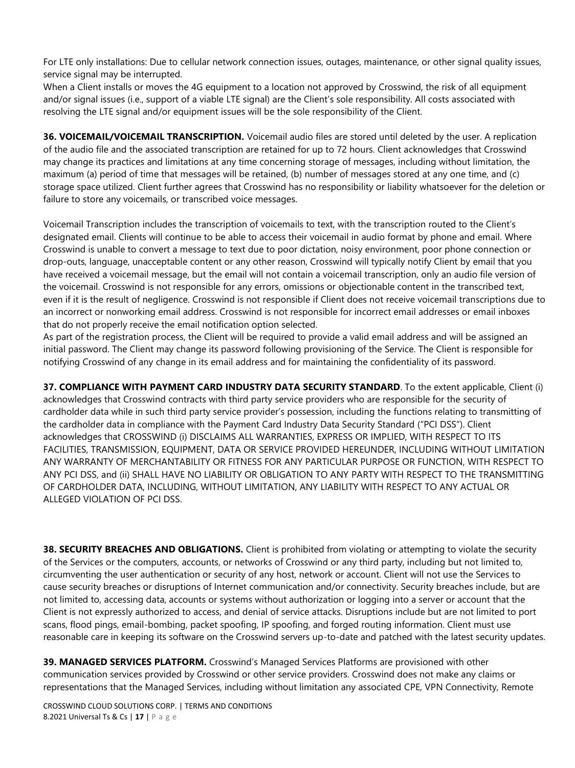For LTE only installations: Due to cellular network connection issues, outages, maintenance, or other signal quality issues, service signal may be interrupted.

When a Client installs or moves the 4G equipment to a location not approved by Crosswind, the risk of all equipment and/or signal issues (i.e., support of a viable LTE signal) are the Client's sole responsibility. All costs associated with resolving the LTE signal and/or equipment issues will be the sole responsibility of the Client.

**36. VOICEMAIL/VOICEMAIL TRANSCRIPTION.** Voicemail audio files are stored until deleted by the user. A replication of the audio file and the associated transcription are retained for up to 72 hours. Client acknowledges that Crosswind may change its practices and limitations at any time concerning storage of messages, including without limitation, the maximum (a) period of time that messages will be retained, (b) number of messages stored at any one time, and (c) storage space utilized. Client further agrees that Crosswind has no responsibility or liability whatsoever for the deletion or failure to store any voicemails, or transcribed voice messages.

Voicemail Transcription includes the transcription of voicemails to text, with the transcription routed to the Client's designated email. Clients will continue to be able to access their voicemail in audio format by phone and email. Where Crosswind is unable to convert a message to text due to poor dictation, noisy environment, poor phone connection or drop-outs, language, unacceptable content or any other reason, Crosswind will typically notify Client by email that you have received a voicemail message, but the email will not contain a voicemail transcription, only an audio file version of the voicemail. Crosswind is not responsible for any errors, omissions or objectionable content in the transcribed text, even if it is the result of negligence. Crosswind is not responsible if Client does not receive voicemail transcriptions due to an incorrect or nonworking email address. Crosswind is not responsible for incorrect email addresses or email inboxes that do not properly receive the email notification option selected.

As part of the registration process, the Client will be required to provide a valid email address and will be assigned an initial password. The Client may change its password following provisioning of the Service. The Client is responsible for notifying Crosswind of any change in its email address and for maintaining the confidentiality of its password.

**37. COMPLIANCE WITH PAYMENT CARD INDUSTRY DATA SECURITY STANDARD**. To the extent applicable, Client (i) acknowledges that Crosswind contracts with third party service providers who are responsible for the security of cardholder data while in such third party service provider's possession, including the functions relating to transmitting of the cardholder data in compliance with the Payment Card Industry Data Security Standard ("PCI DSS"). Client acknowledges that CROSSWIND (i) DISCLAIMS ALL WARRANTIES, EXPRESS OR IMPLIED, WITH RESPECT TO ITS FACILITIES, TRANSMISSION, EQUIPMENT, DATA OR SERVICE PROVIDED HEREUNDER, INCLUDING WITHOUT LIMITATION ANY WARRANTY OF MERCHANTABILITY OR FITNESS FOR ANY PARTICULAR PURPOSE OR FUNCTION, WITH RESPECT TO ANY PCI DSS, and (ii) SHALL HAVE NO LIABILITY OR OBLIGATION TO ANY PARTY WITH RESPECT TO THE TRANSMITTING OF CARDHOLDER DATA, INCLUDING, WITHOUT LIMITATION, ANY LIABILITY WITH RESPECT TO ANY ACTUAL OR ALLEGED VIOLATION OF PCI DSS.

**38. SECURITY BREACHES AND OBLIGATIONS.** Client is prohibited from violating or attempting to violate the security of the Services or the computers, accounts, or networks of Crosswind or any third party, including but not limited to, circumventing the user authentication or security of any host, network or account. Client will not use the Services to cause security breaches or disruptions of Internet communication and/or connectivity. Security breaches include, but are not limited to, accessing data, accounts or systems without authorization or logging into a server or account that the Client is not expressly authorized to access, and denial of service attacks. Disruptions include but are not limited to port scans, flood pings, email-bombing, packet spoofing, IP spoofing, and forged routing information. Client must use reasonable care in keeping its software on the Crosswind servers up-to-date and patched with the latest security updates.

**39. MANAGED SERVICES PLATFORM.** Crosswind's Managed Services Platforms are provisioned with other communication services provided by Crosswind or other service providers. Crosswind does not make any claims or representations that the Managed Services, including without limitation any associated CPE, VPN Connectivity, Remote

CROSSWIND CLOUD SOLUTIONS CORP. | TERMS AND CONDITIONS 8.2021 Universal Ts & Cs | **17** | P a g e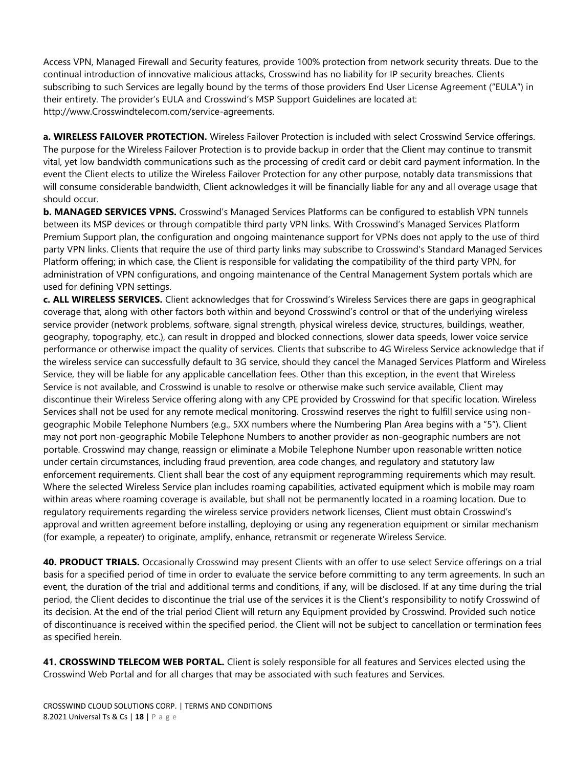Access VPN, Managed Firewall and Security features, provide 100% protection from network security threats. Due to the continual introduction of innovative malicious attacks, Crosswind has no liability for IP security breaches. Clients subscribing to such Services are legally bound by the terms of those providers End User License Agreement ("EULA") in their entirety. The provider's EULA and Crosswind's MSP Support Guidelines are located at: http://www.Crosswindtelecom.com/service-agreements.

**a. WIRELESS FAILOVER PROTECTION.** Wireless Failover Protection is included with select Crosswind Service offerings. The purpose for the Wireless Failover Protection is to provide backup in order that the Client may continue to transmit vital, yet low bandwidth communications such as the processing of credit card or debit card payment information. In the event the Client elects to utilize the Wireless Failover Protection for any other purpose, notably data transmissions that will consume considerable bandwidth, Client acknowledges it will be financially liable for any and all overage usage that should occur.

**b. MANAGED SERVICES VPNS.** Crosswind's Managed Services Platforms can be configured to establish VPN tunnels between its MSP devices or through compatible third party VPN links. With Crosswind's Managed Services Platform Premium Support plan, the configuration and ongoing maintenance support for VPNs does not apply to the use of third party VPN links. Clients that require the use of third party links may subscribe to Crosswind's Standard Managed Services Platform offering; in which case, the Client is responsible for validating the compatibility of the third party VPN, for administration of VPN configurations, and ongoing maintenance of the Central Management System portals which are used for defining VPN settings.

**c. ALL WIRELESS SERVICES.** Client acknowledges that for Crosswind's Wireless Services there are gaps in geographical coverage that, along with other factors both within and beyond Crosswind's control or that of the underlying wireless service provider (network problems, software, signal strength, physical wireless device, structures, buildings, weather, geography, topography, etc.), can result in dropped and blocked connections, slower data speeds, lower voice service performance or otherwise impact the quality of services. Clients that subscribe to 4G Wireless Service acknowledge that if the wireless service can successfully default to 3G service, should they cancel the Managed Services Platform and Wireless Service, they will be liable for any applicable cancellation fees. Other than this exception, in the event that Wireless Service is not available, and Crosswind is unable to resolve or otherwise make such service available, Client may discontinue their Wireless Service offering along with any CPE provided by Crosswind for that specific location. Wireless Services shall not be used for any remote medical monitoring. Crosswind reserves the right to fulfill service using nongeographic Mobile Telephone Numbers (e.g., 5XX numbers where the Numbering Plan Area begins with a "5"). Client may not port non-geographic Mobile Telephone Numbers to another provider as non-geographic numbers are not portable. Crosswind may change, reassign or eliminate a Mobile Telephone Number upon reasonable written notice under certain circumstances, including fraud prevention, area code changes, and regulatory and statutory law enforcement requirements. Client shall bear the cost of any equipment reprogramming requirements which may result. Where the selected Wireless Service plan includes roaming capabilities, activated equipment which is mobile may roam within areas where roaming coverage is available, but shall not be permanently located in a roaming location. Due to regulatory requirements regarding the wireless service providers network licenses, Client must obtain Crosswind's approval and written agreement before installing, deploying or using any regeneration equipment or similar mechanism (for example, a repeater) to originate, amplify, enhance, retransmit or regenerate Wireless Service.

**40. PRODUCT TRIALS.** Occasionally Crosswind may present Clients with an offer to use select Service offerings on a trial basis for a specified period of time in order to evaluate the service before committing to any term agreements. In such an event, the duration of the trial and additional terms and conditions, if any, will be disclosed. If at any time during the trial period, the Client decides to discontinue the trial use of the services it is the Client's responsibility to notify Crosswind of its decision. At the end of the trial period Client will return any Equipment provided by Crosswind. Provided such notice of discontinuance is received within the specified period, the Client will not be subject to cancellation or termination fees as specified herein.

**41. CROSSWIND TELECOM WEB PORTAL.** Client is solely responsible for all features and Services elected using the Crosswind Web Portal and for all charges that may be associated with such features and Services.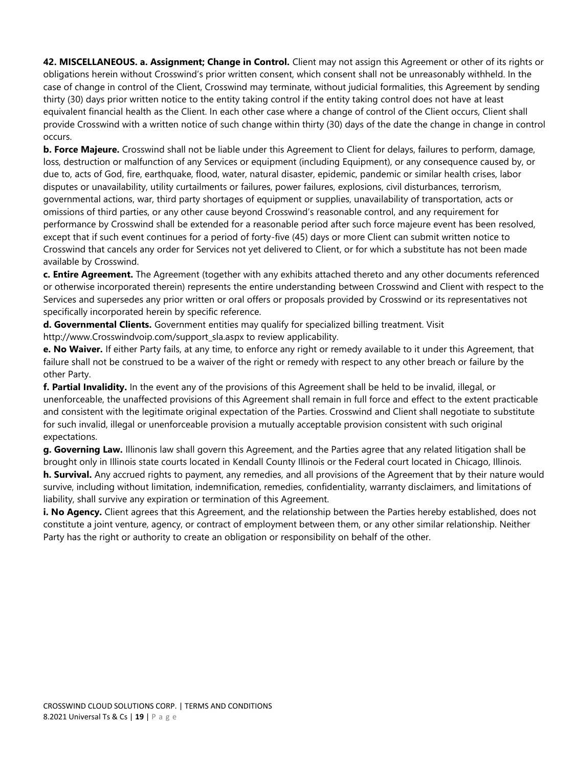**42. MISCELLANEOUS. a. Assignment; Change in Control.** Client may not assign this Agreement or other of its rights or obligations herein without Crosswind's prior written consent, which consent shall not be unreasonably withheld. In the case of change in control of the Client, Crosswind may terminate, without judicial formalities, this Agreement by sending thirty (30) days prior written notice to the entity taking control if the entity taking control does not have at least equivalent financial health as the Client. In each other case where a change of control of the Client occurs, Client shall provide Crosswind with a written notice of such change within thirty (30) days of the date the change in change in control occurs.

**b. Force Majeure.** Crosswind shall not be liable under this Agreement to Client for delays, failures to perform, damage, loss, destruction or malfunction of any Services or equipment (including Equipment), or any consequence caused by, or due to, acts of God, fire, earthquake, flood, water, natural disaster, epidemic, pandemic or similar health crises, labor disputes or unavailability, utility curtailments or failures, power failures, explosions, civil disturbances, terrorism, governmental actions, war, third party shortages of equipment or supplies, unavailability of transportation, acts or omissions of third parties, or any other cause beyond Crosswind's reasonable control, and any requirement for performance by Crosswind shall be extended for a reasonable period after such force majeure event has been resolved, except that if such event continues for a period of forty-five (45) days or more Client can submit written notice to Crosswind that cancels any order for Services not yet delivered to Client, or for which a substitute has not been made available by Crosswind.

**c. Entire Agreement.** The Agreement (together with any exhibits attached thereto and any other documents referenced or otherwise incorporated therein) represents the entire understanding between Crosswind and Client with respect to the Services and supersedes any prior written or oral offers or proposals provided by Crosswind or its representatives not specifically incorporated herein by specific reference.

**d. Governmental Clients.** Government entities may qualify for specialized billing treatment. Visit http://www.Crosswindvoip.com/support\_sla.aspx to review applicability.

**e. No Waiver.** If either Party fails, at any time, to enforce any right or remedy available to it under this Agreement, that failure shall not be construed to be a waiver of the right or remedy with respect to any other breach or failure by the other Party.

**f. Partial Invalidity.** In the event any of the provisions of this Agreement shall be held to be invalid, illegal, or unenforceable, the unaffected provisions of this Agreement shall remain in full force and effect to the extent practicable and consistent with the legitimate original expectation of the Parties. Crosswind and Client shall negotiate to substitute for such invalid, illegal or unenforceable provision a mutually acceptable provision consistent with such original expectations.

**g. Governing Law.** Illinonis law shall govern this Agreement, and the Parties agree that any related litigation shall be brought only in Illinois state courts located in Kendall County Illinois or the Federal court located in Chicago, Illinois. **h. Survival.** Any accrued rights to payment, any remedies, and all provisions of the Agreement that by their nature would survive, including without limitation, indemnification, remedies, confidentiality, warranty disclaimers, and limitations of liability, shall survive any expiration or termination of this Agreement.

**i. No Agency.** Client agrees that this Agreement, and the relationship between the Parties hereby established, does not constitute a joint venture, agency, or contract of employment between them, or any other similar relationship. Neither Party has the right or authority to create an obligation or responsibility on behalf of the other.